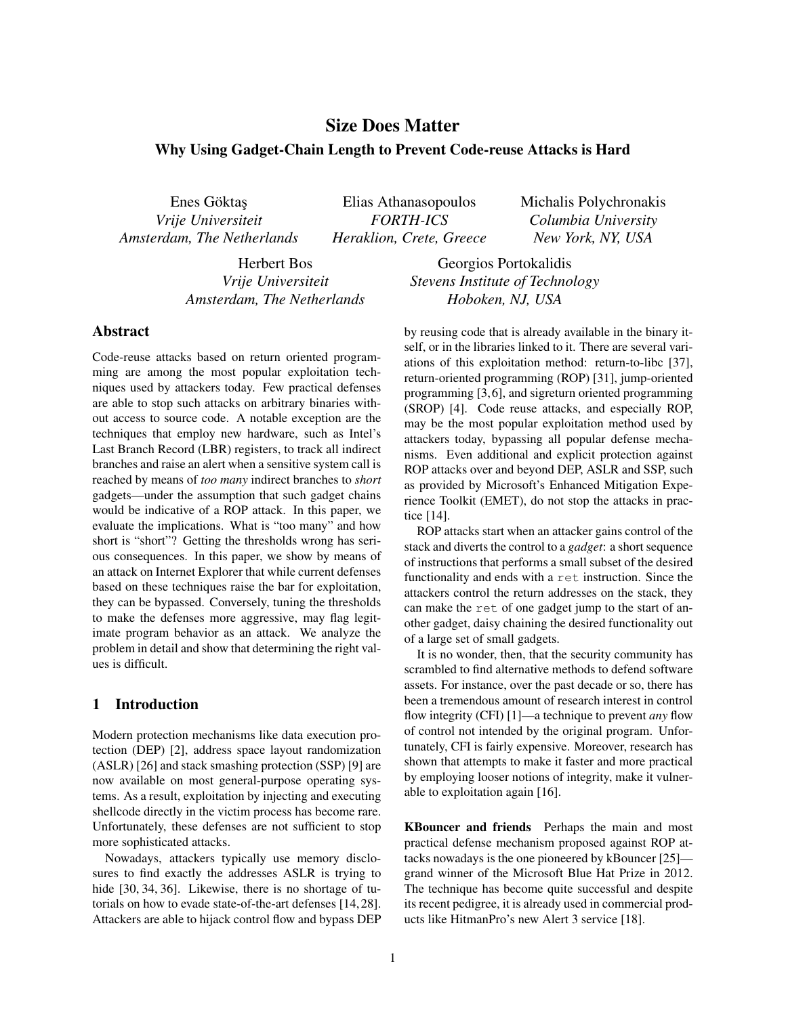# Size Does Matter

# Why Using Gadget-Chain Length to Prevent Code-reuse Attacks is Hard

Enes Göktaş *Vrije Universiteit Amsterdam, The Netherlands*

Elias Athanasopoulos *FORTH-ICS Heraklion, Crete, Greece* Michalis Polychronakis *Columbia University New York, NY, USA*

Herbert Bos *Vrije Universiteit Amsterdam, The Netherlands*

Georgios Portokalidis *Stevens Institute of Technology Hoboken, NJ, USA*

# Abstract

Code-reuse attacks based on return oriented programming are among the most popular exploitation techniques used by attackers today. Few practical defenses are able to stop such attacks on arbitrary binaries without access to source code. A notable exception are the techniques that employ new hardware, such as Intel's Last Branch Record (LBR) registers, to track all indirect branches and raise an alert when a sensitive system call is reached by means of *too many* indirect branches to *short* gadgets—under the assumption that such gadget chains would be indicative of a ROP attack. In this paper, we evaluate the implications. What is "too many" and how short is "short"? Getting the thresholds wrong has serious consequences. In this paper, we show by means of an attack on Internet Explorer that while current defenses based on these techniques raise the bar for exploitation, they can be bypassed. Conversely, tuning the thresholds to make the defenses more aggressive, may flag legitimate program behavior as an attack. We analyze the problem in detail and show that determining the right values is difficult.

## 1 Introduction

Modern protection mechanisms like data execution protection (DEP) [\[2\]](#page-11-0), address space layout randomization (ASLR) [\[26\]](#page-12-0) and stack smashing protection (SSP) [\[9\]](#page-12-1) are now available on most general-purpose operating systems. As a result, exploitation by injecting and executing shellcode directly in the victim process has become rare. Unfortunately, these defenses are not sufficient to stop more sophisticated attacks.

Nowadays, attackers typically use memory disclosures to find exactly the addresses ASLR is trying to hide [\[30,](#page-12-2) [34,](#page-12-3) [36\]](#page-12-4). Likewise, there is no shortage of tutorials on how to evade state-of-the-art defenses [\[14,](#page-12-5)[28\]](#page-12-6). Attackers are able to hijack control flow and bypass DEP by reusing code that is already available in the binary itself, or in the libraries linked to it. There are several variations of this exploitation method: return-to-libc [\[37\]](#page-12-7), return-oriented programming (ROP) [\[31\]](#page-12-8), jump-oriented programming [\[3,](#page-11-1)[6\]](#page-12-9), and sigreturn oriented programming (SROP) [\[4\]](#page-11-2). Code reuse attacks, and especially ROP, may be the most popular exploitation method used by attackers today, bypassing all popular defense mechanisms. Even additional and explicit protection against ROP attacks over and beyond DEP, ASLR and SSP, such as provided by Microsoft's Enhanced Mitigation Experience Toolkit (EMET), do not stop the attacks in practice [\[14\]](#page-12-5).

ROP attacks start when an attacker gains control of the stack and diverts the control to a *gadget*: a short sequence of instructions that performs a small subset of the desired functionality and ends with a ret instruction. Since the attackers control the return addresses on the stack, they can make the ret of one gadget jump to the start of another gadget, daisy chaining the desired functionality out of a large set of small gadgets.

It is no wonder, then, that the security community has scrambled to find alternative methods to defend software assets. For instance, over the past decade or so, there has been a tremendous amount of research interest in control flow integrity (CFI) [\[1\]](#page-11-3)—a technique to prevent *any* flow of control not intended by the original program. Unfortunately, CFI is fairly expensive. Moreover, research has shown that attempts to make it faster and more practical by employing looser notions of integrity, make it vulnerable to exploitation again [\[16\]](#page-12-10).

KBouncer and friends Perhaps the main and most practical defense mechanism proposed against ROP attacks nowadays is the one pioneered by kBouncer [\[25\]](#page-12-11) grand winner of the Microsoft Blue Hat Prize in 2012. The technique has become quite successful and despite its recent pedigree, it is already used in commercial products like HitmanPro's new Alert 3 service [\[18\]](#page-12-12).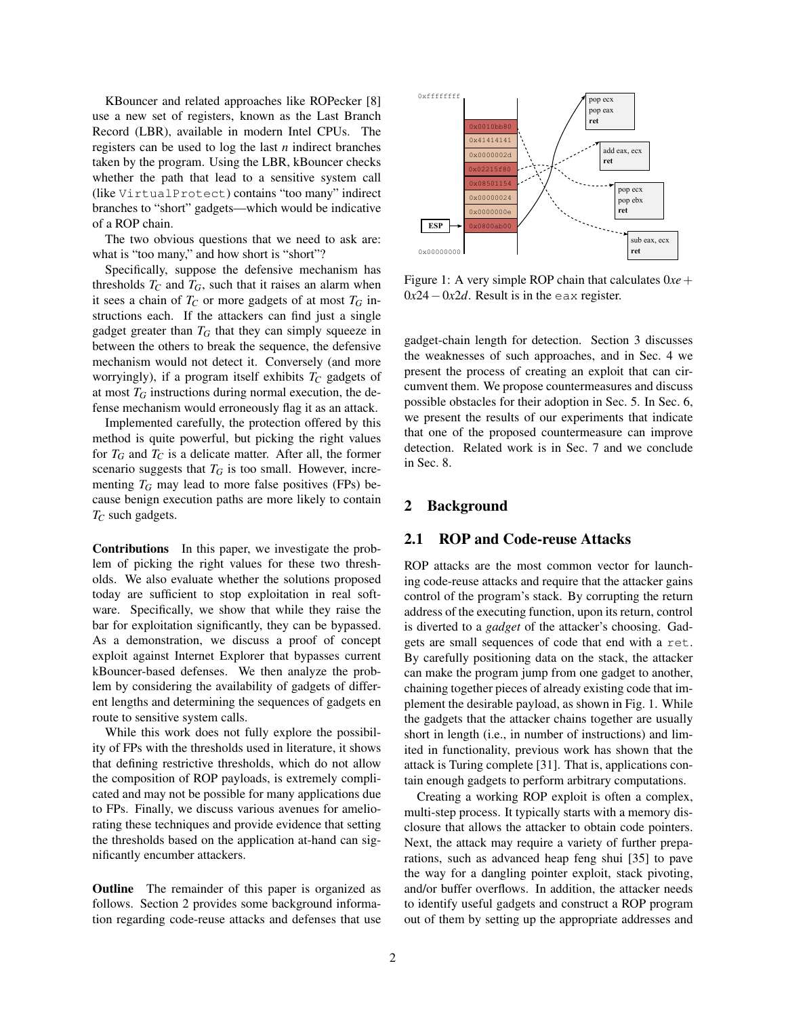KBouncer and related approaches like ROPecker [\[8\]](#page-12-13) use a new set of registers, known as the Last Branch Record (LBR), available in modern Intel CPUs. The registers can be used to log the last *n* indirect branches taken by the program. Using the LBR, kBouncer checks whether the path that lead to a sensitive system call (like VirtualProtect) contains "too many" indirect branches to "short" gadgets—which would be indicative of a ROP chain.

The two obvious questions that we need to ask are: what is "too many," and how short is "short"?

Specifically, suppose the defensive mechanism has thresholds  $T_C$  and  $T_G$ , such that it raises an alarm when it sees a chain of  $T_C$  or more gadgets of at most  $T_G$  instructions each. If the attackers can find just a single gadget greater than  $T_G$  that they can simply squeeze in between the others to break the sequence, the defensive mechanism would not detect it. Conversely (and more worryingly), if a program itself exhibits  $T_C$  gadgets of at most  $T_G$  instructions during normal execution, the defense mechanism would erroneously flag it as an attack.

Implemented carefully, the protection offered by this method is quite powerful, but picking the right values for  $T_G$  and  $T_C$  is a delicate matter. After all, the former scenario suggests that  $T_G$  is too small. However, incrementing  $T_G$  may lead to more false positives (FPs) because benign execution paths are more likely to contain *T<sup>C</sup>* such gadgets.

Contributions In this paper, we investigate the problem of picking the right values for these two thresholds. We also evaluate whether the solutions proposed today are sufficient to stop exploitation in real software. Specifically, we show that while they raise the bar for exploitation significantly, they can be bypassed. As a demonstration, we discuss a proof of concept exploit against Internet Explorer that bypasses current kBouncer-based defenses. We then analyze the problem by considering the availability of gadgets of different lengths and determining the sequences of gadgets en route to sensitive system calls.

While this work does not fully explore the possibility of FPs with the thresholds used in literature, it shows that defining restrictive thresholds, which do not allow the composition of ROP payloads, is extremely complicated and may not be possible for many applications due to FPs. Finally, we discuss various avenues for ameliorating these techniques and provide evidence that setting the thresholds based on the application at-hand can significantly encumber attackers.

Outline The remainder of this paper is organized as follows. Section [2](#page-1-0) provides some background information regarding code-reuse attacks and defenses that use

<span id="page-1-1"></span>

Figure 1: A very simple ROP chain that calculates 0*xe*+ 0*x*24−0*x*2*d*. Result is in the eax register.

gadget-chain length for detection. Section [3](#page-3-0) discusses the weaknesses of such approaches, and in Sec. [4](#page-4-0) we present the process of creating an exploit that can circumvent them. We propose countermeasures and discuss possible obstacles for their adoption in Sec. [5.](#page-6-0) In Sec. [6,](#page-8-0) we present the results of our experiments that indicate that one of the proposed countermeasure can improve detection. Related work is in Sec. [7](#page-10-0) and we conclude in Sec. [8.](#page-11-4)

### <span id="page-1-0"></span>2 Background

### 2.1 ROP and Code-reuse Attacks

ROP attacks are the most common vector for launching code-reuse attacks and require that the attacker gains control of the program's stack. By corrupting the return address of the executing function, upon its return, control is diverted to a *gadget* of the attacker's choosing. Gadgets are small sequences of code that end with a ret. By carefully positioning data on the stack, the attacker can make the program jump from one gadget to another, chaining together pieces of already existing code that implement the desirable payload, as shown in Fig. [1.](#page-1-1) While the gadgets that the attacker chains together are usually short in length (i.e., in number of instructions) and limited in functionality, previous work has shown that the attack is Turing complete [\[31\]](#page-12-8). That is, applications contain enough gadgets to perform arbitrary computations.

Creating a working ROP exploit is often a complex, multi-step process. It typically starts with a memory disclosure that allows the attacker to obtain code pointers. Next, the attack may require a variety of further preparations, such as advanced heap feng shui [\[35\]](#page-12-14) to pave the way for a dangling pointer exploit, stack pivoting, and/or buffer overflows. In addition, the attacker needs to identify useful gadgets and construct a ROP program out of them by setting up the appropriate addresses and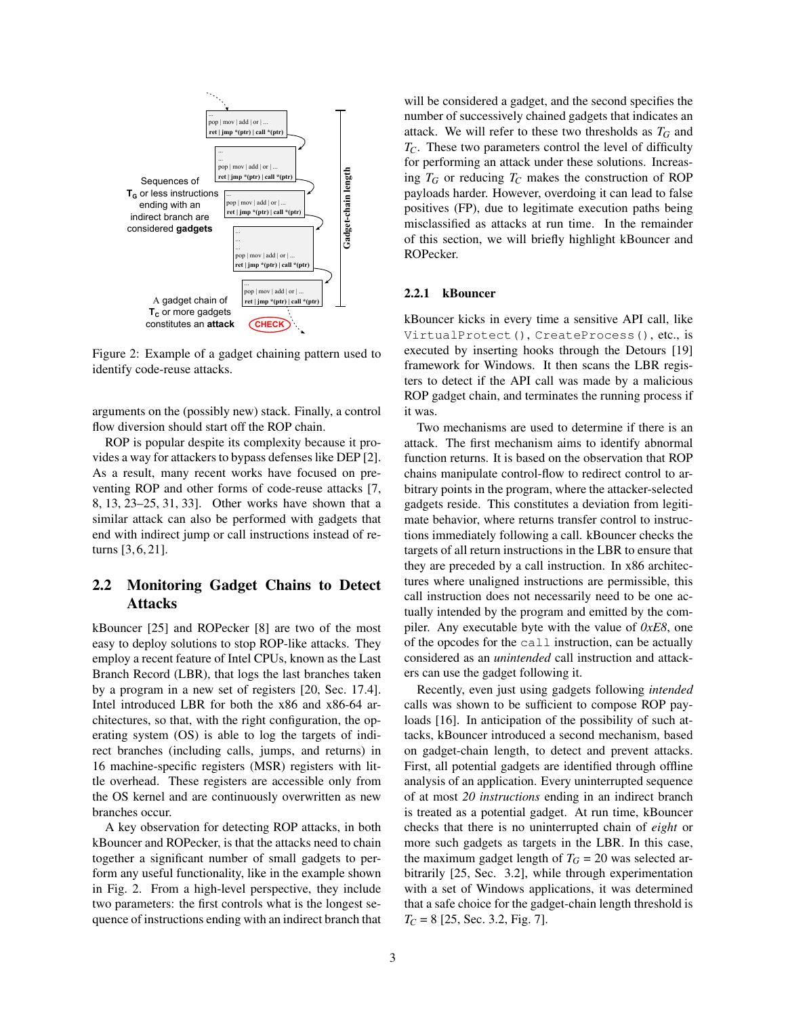<span id="page-2-0"></span>

Figure 2: Example of a gadget chaining pattern used to identify code-reuse attacks.

arguments on the (possibly new) stack. Finally, a control flow diversion should start off the ROP chain.

ROP is popular despite its complexity because it provides a way for attackers to bypass defenses like DEP [\[2\]](#page-11-0). As a result, many recent works have focused on preventing ROP and other forms of code-reuse attacks [\[7,](#page-12-15) [8,](#page-12-13) [13,](#page-12-16) [23–](#page-12-17)[25,](#page-12-11) [31,](#page-12-8) [33\]](#page-12-18). Other works have shown that a similar attack can also be performed with gadgets that end with indirect jump or call instructions instead of returns [\[3,](#page-11-1) [6,](#page-12-9) [21\]](#page-12-19).

# 2.2 Monitoring Gadget Chains to Detect Attacks

kBouncer [\[25\]](#page-12-11) and ROPecker [\[8\]](#page-12-13) are two of the most easy to deploy solutions to stop ROP-like attacks. They employ a recent feature of Intel CPUs, known as the Last Branch Record (LBR), that logs the last branches taken by a program in a new set of registers [\[20,](#page-12-20) Sec. 17.4]. Intel introduced LBR for both the x86 and x86-64 architectures, so that, with the right configuration, the operating system (OS) is able to log the targets of indirect branches (including calls, jumps, and returns) in 16 machine-specific registers (MSR) registers with little overhead. These registers are accessible only from the OS kernel and are continuously overwritten as new branches occur.

A key observation for detecting ROP attacks, in both kBouncer and ROPecker, is that the attacks need to chain together a significant number of small gadgets to perform any useful functionality, like in the example shown in Fig. [2.](#page-2-0) From a high-level perspective, they include two parameters: the first controls what is the longest sequence of instructions ending with an indirect branch that will be considered a gadget, and the second specifies the number of successively chained gadgets that indicates an attack. We will refer to these two thresholds as  $T_G$  and *TC*. These two parameters control the level of difficulty for performing an attack under these solutions. Increasing  $T_G$  or reducing  $T_C$  makes the construction of ROP payloads harder. However, overdoing it can lead to false positives (FP), due to legitimate execution paths being misclassified as attacks at run time. In the remainder of this section, we will briefly highlight kBouncer and ROPecker.

#### 2.2.1 kBouncer

kBouncer kicks in every time a sensitive API call, like VirtualProtect(), CreateProcess(), etc., is executed by inserting hooks through the Detours [\[19\]](#page-12-21) framework for Windows. It then scans the LBR registers to detect if the API call was made by a malicious ROP gadget chain, and terminates the running process if it was.

Two mechanisms are used to determine if there is an attack. The first mechanism aims to identify abnormal function returns. It is based on the observation that ROP chains manipulate control-flow to redirect control to arbitrary points in the program, where the attacker-selected gadgets reside. This constitutes a deviation from legitimate behavior, where returns transfer control to instructions immediately following a call. kBouncer checks the targets of all return instructions in the LBR to ensure that they are preceded by a call instruction. In x86 architectures where unaligned instructions are permissible, this call instruction does not necessarily need to be one actually intended by the program and emitted by the compiler. Any executable byte with the value of *0xE8*, one of the opcodes for the call instruction, can be actually considered as an *unintended* call instruction and attackers can use the gadget following it.

Recently, even just using gadgets following *intended* calls was shown to be sufficient to compose ROP payloads [\[16\]](#page-12-10). In anticipation of the possibility of such attacks, kBouncer introduced a second mechanism, based on gadget-chain length, to detect and prevent attacks. First, all potential gadgets are identified through offline analysis of an application. Every uninterrupted sequence of at most *20 instructions* ending in an indirect branch is treated as a potential gadget. At run time, kBouncer checks that there is no uninterrupted chain of *eight* or more such gadgets as targets in the LBR. In this case, the maximum gadget length of  $T_G = 20$  was selected arbitrarily [\[25,](#page-12-11) Sec. 3.2], while through experimentation with a set of Windows applications, it was determined that a safe choice for the gadget-chain length threshold is *T<sup>C</sup>* = 8 [\[25,](#page-12-11) Sec. 3.2, Fig. 7].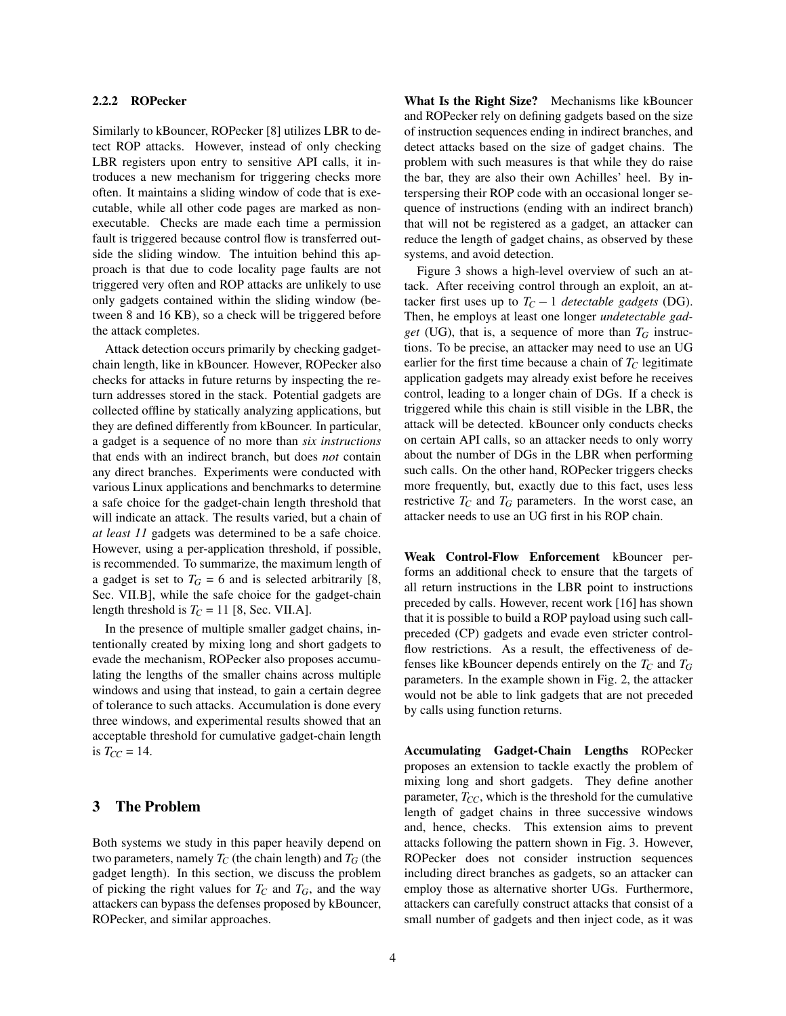#### 2.2.2 ROPecker

Similarly to kBouncer, ROPecker [\[8\]](#page-12-13) utilizes LBR to detect ROP attacks. However, instead of only checking LBR registers upon entry to sensitive API calls, it introduces a new mechanism for triggering checks more often. It maintains a sliding window of code that is executable, while all other code pages are marked as nonexecutable. Checks are made each time a permission fault is triggered because control flow is transferred outside the sliding window. The intuition behind this approach is that due to code locality page faults are not triggered very often and ROP attacks are unlikely to use only gadgets contained within the sliding window (between 8 and 16 KB), so a check will be triggered before the attack completes.

Attack detection occurs primarily by checking gadgetchain length, like in kBouncer. However, ROPecker also checks for attacks in future returns by inspecting the return addresses stored in the stack. Potential gadgets are collected offline by statically analyzing applications, but they are defined differently from kBouncer. In particular, a gadget is a sequence of no more than *six instructions* that ends with an indirect branch, but does *not* contain any direct branches. Experiments were conducted with various Linux applications and benchmarks to determine a safe choice for the gadget-chain length threshold that will indicate an attack. The results varied, but a chain of *at least 11* gadgets was determined to be a safe choice. However, using a per-application threshold, if possible, is recommended. To summarize, the maximum length of a gadget is set to  $T_G = 6$  and is selected arbitrarily [\[8,](#page-12-13) Sec. VII.B], while the safe choice for the gadget-chain length threshold is  $T_C = 11$  [\[8,](#page-12-13) Sec. VII.A].

In the presence of multiple smaller gadget chains, intentionally created by mixing long and short gadgets to evade the mechanism, ROPecker also proposes accumulating the lengths of the smaller chains across multiple windows and using that instead, to gain a certain degree of tolerance to such attacks. Accumulation is done every three windows, and experimental results showed that an acceptable threshold for cumulative gadget-chain length is  $T_{CC} = 14$ .

# <span id="page-3-0"></span>3 The Problem

Both systems we study in this paper heavily depend on two parameters, namely  $T_C$  (the chain length) and  $T_G$  (the gadget length). In this section, we discuss the problem of picking the right values for  $T_C$  and  $T_G$ , and the way attackers can bypass the defenses proposed by kBouncer, ROPecker, and similar approaches.

What Is the Right Size? Mechanisms like kBouncer and ROPecker rely on defining gadgets based on the size of instruction sequences ending in indirect branches, and detect attacks based on the size of gadget chains. The problem with such measures is that while they do raise the bar, they are also their own Achilles' heel. By interspersing their ROP code with an occasional longer sequence of instructions (ending with an indirect branch) that will not be registered as a gadget, an attacker can reduce the length of gadget chains, as observed by these systems, and avoid detection.

Figure [3](#page-4-1) shows a high-level overview of such an attack. After receiving control through an exploit, an attacker first uses up to  $T_C - 1$  *detectable gadgets* (DG). Then, he employs at least one longer *undetectable gadget* (UG), that is, a sequence of more than  $T_G$  instructions. To be precise, an attacker may need to use an UG earlier for the first time because a chain of  $T_C$  legitimate application gadgets may already exist before he receives control, leading to a longer chain of DGs. If a check is triggered while this chain is still visible in the LBR, the attack will be detected. kBouncer only conducts checks on certain API calls, so an attacker needs to only worry about the number of DGs in the LBR when performing such calls. On the other hand, ROPecker triggers checks more frequently, but, exactly due to this fact, uses less restrictive  $T_C$  and  $T_G$  parameters. In the worst case, an attacker needs to use an UG first in his ROP chain.

Weak Control-Flow Enforcement kBouncer performs an additional check to ensure that the targets of all return instructions in the LBR point to instructions preceded by calls. However, recent work [\[16\]](#page-12-10) has shown that it is possible to build a ROP payload using such callpreceded (CP) gadgets and evade even stricter controlflow restrictions. As a result, the effectiveness of defenses like kBouncer depends entirely on the *T<sup>C</sup>* and *T<sup>G</sup>* parameters. In the example shown in Fig. [2,](#page-2-0) the attacker would not be able to link gadgets that are not preceded by calls using function returns.

Accumulating Gadget-Chain Lengths ROPecker proposes an extension to tackle exactly the problem of mixing long and short gadgets. They define another parameter,  $T_{CC}$ , which is the threshold for the cumulative length of gadget chains in three successive windows and, hence, checks. This extension aims to prevent attacks following the pattern shown in Fig. [3.](#page-4-1) However, ROPecker does not consider instruction sequences including direct branches as gadgets, so an attacker can employ those as alternative shorter UGs. Furthermore, attackers can carefully construct attacks that consist of a small number of gadgets and then inject code, as it was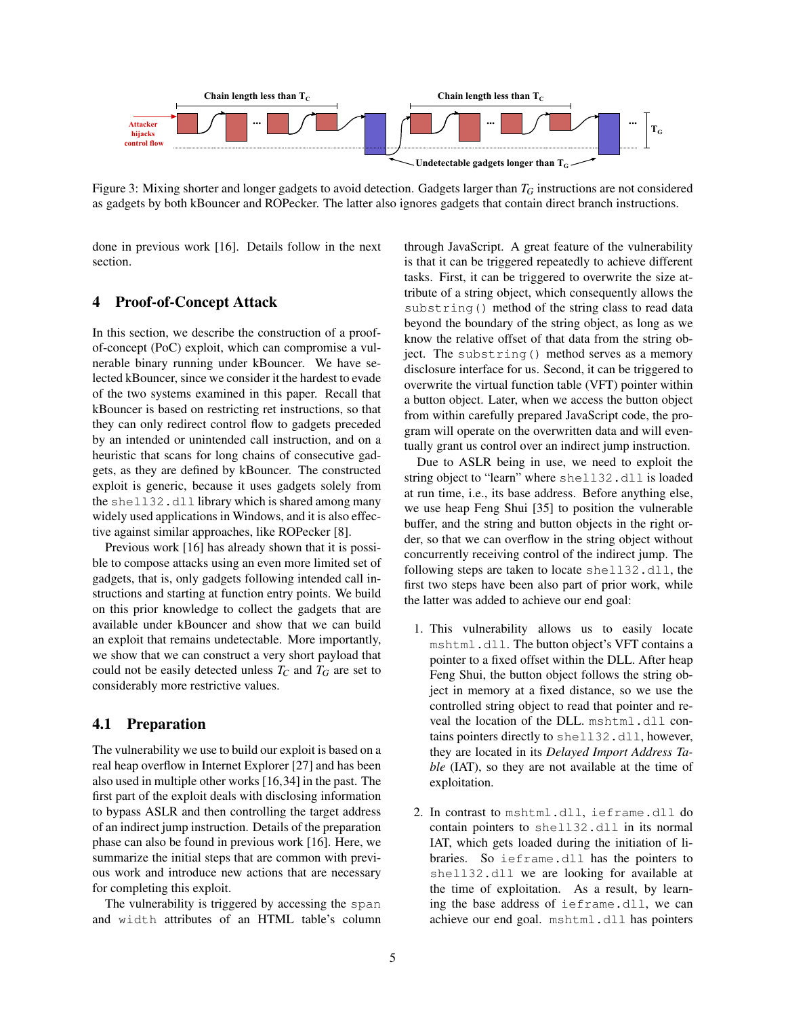<span id="page-4-1"></span>

Figure 3: Mixing shorter and longer gadgets to avoid detection. Gadgets larger than  $T_G$  instructions are not considered as gadgets by both kBouncer and ROPecker. The latter also ignores gadgets that contain direct branch instructions.

done in previous work [\[16\]](#page-12-10). Details follow in the next section.

## <span id="page-4-0"></span>4 Proof-of-Concept Attack

In this section, we describe the construction of a proofof-concept (PoC) exploit, which can compromise a vulnerable binary running under kBouncer. We have selected kBouncer, since we consider it the hardest to evade of the two systems examined in this paper. Recall that kBouncer is based on restricting ret instructions, so that they can only redirect control flow to gadgets preceded by an intended or unintended call instruction, and on a heuristic that scans for long chains of consecutive gadgets, as they are defined by kBouncer. The constructed exploit is generic, because it uses gadgets solely from the shell32.dll library which is shared among many widely used applications in Windows, and it is also effective against similar approaches, like ROPecker [\[8\]](#page-12-13).

Previous work [\[16\]](#page-12-10) has already shown that it is possible to compose attacks using an even more limited set of gadgets, that is, only gadgets following intended call instructions and starting at function entry points. We build on this prior knowledge to collect the gadgets that are available under kBouncer and show that we can build an exploit that remains undetectable. More importantly, we show that we can construct a very short payload that could not be easily detected unless  $T_C$  and  $T_G$  are set to considerably more restrictive values.

### 4.1 Preparation

The vulnerability we use to build our exploit is based on a real heap overflow in Internet Explorer [\[27\]](#page-12-22) and has been also used in multiple other works [\[16,](#page-12-10)[34\]](#page-12-3) in the past. The first part of the exploit deals with disclosing information to bypass ASLR and then controlling the target address of an indirect jump instruction. Details of the preparation phase can also be found in previous work [\[16\]](#page-12-10). Here, we summarize the initial steps that are common with previous work and introduce new actions that are necessary for completing this exploit.

The vulnerability is triggered by accessing the span and width attributes of an HTML table's column through JavaScript. A great feature of the vulnerability is that it can be triggered repeatedly to achieve different tasks. First, it can be triggered to overwrite the size attribute of a string object, which consequently allows the substring() method of the string class to read data beyond the boundary of the string object, as long as we know the relative offset of that data from the string object. The substring() method serves as a memory disclosure interface for us. Second, it can be triggered to overwrite the virtual function table (VFT) pointer within a button object. Later, when we access the button object from within carefully prepared JavaScript code, the program will operate on the overwritten data and will eventually grant us control over an indirect jump instruction.

Due to ASLR being in use, we need to exploit the string object to "learn" where shell32.dll is loaded at run time, i.e., its base address. Before anything else, we use heap Feng Shui [\[35\]](#page-12-14) to position the vulnerable buffer, and the string and button objects in the right order, so that we can overflow in the string object without concurrently receiving control of the indirect jump. The following steps are taken to locate shell32.dll, the first two steps have been also part of prior work, while the latter was added to achieve our end goal:

- 1. This vulnerability allows us to easily locate mshtml.dll. The button object's VFT contains a pointer to a fixed offset within the DLL. After heap Feng Shui, the button object follows the string object in memory at a fixed distance, so we use the controlled string object to read that pointer and reveal the location of the DLL. mshtml.dll contains pointers directly to shell32.dll, however, they are located in its *Delayed Import Address Table* (IAT), so they are not available at the time of exploitation.
- 2. In contrast to mshtml.dll, ieframe.dll do contain pointers to shell32.dll in its normal IAT, which gets loaded during the initiation of libraries. So ieframe.dll has the pointers to shell32.dll we are looking for available at the time of exploitation. As a result, by learning the base address of ieframe.dll, we can achieve our end goal. mshtml.dll has pointers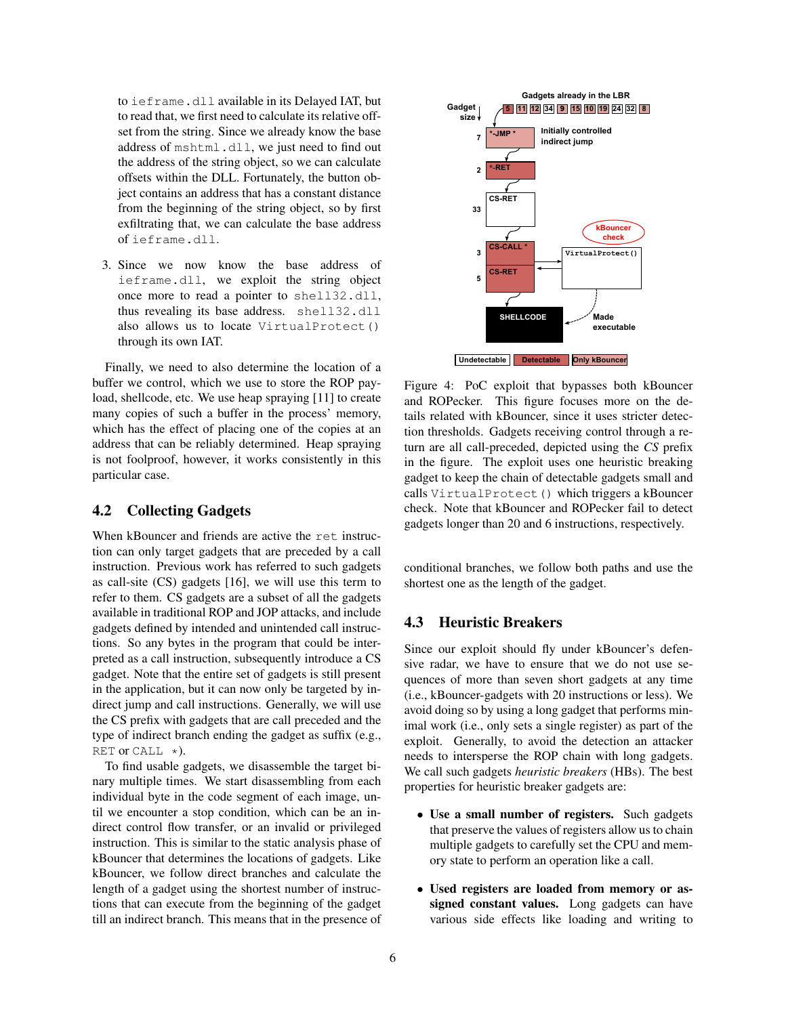to ieframe.dll available in its Delayed IAT, but to read that, we first need to calculate its relative offset from the string. Since we already know the base address of mshtml.dll, we just need to find out the address of the string object, so we can calculate offsets within the DLL. Fortunately, the button object contains an address that has a constant distance from the beginning of the string object, so by first exfiltrating that, we can calculate the base address of ieframe.dll.

3. Since we now know the base address of ieframe.dll, we exploit the string object once more to read a pointer to shell32.dll, thus revealing its base address. shell32.dll also allows us to locate VirtualProtect() through its own IAT.

Finally, we need to also determine the location of a buffer we control, which we use to store the ROP payload, shellcode, etc. We use heap spraying [\[11\]](#page-12-23) to create many copies of such a buffer in the process' memory, which has the effect of placing one of the copies at an address that can be reliably determined. Heap spraying is not foolproof, however, it works consistently in this particular case.

## <span id="page-5-1"></span>4.2 Collecting Gadgets

When kBouncer and friends are active the ret instruction can only target gadgets that are preceded by a call instruction. Previous work has referred to such gadgets as call-site (CS) gadgets [\[16\]](#page-12-10), we will use this term to refer to them. CS gadgets are a subset of all the gadgets available in traditional ROP and JOP attacks, and include gadgets defined by intended and unintended call instructions. So any bytes in the program that could be interpreted as a call instruction, subsequently introduce a CS gadget. Note that the entire set of gadgets is still present in the application, but it can now only be targeted by indirect jump and call instructions. Generally, we will use the CS prefix with gadgets that are call preceded and the type of indirect branch ending the gadget as suffix (e.g., RET or CALL  $\star$ ).

To find usable gadgets, we disassemble the target binary multiple times. We start disassembling from each individual byte in the code segment of each image, until we encounter a stop condition, which can be an indirect control flow transfer, or an invalid or privileged instruction. This is similar to the static analysis phase of kBouncer that determines the locations of gadgets. Like kBouncer, we follow direct branches and calculate the length of a gadget using the shortest number of instructions that can execute from the beginning of the gadget till an indirect branch. This means that in the presence of

<span id="page-5-0"></span>

Figure 4: PoC exploit that bypasses both kBouncer and ROPecker. This figure focuses more on the details related with kBouncer, since it uses stricter detection thresholds. Gadgets receiving control through a return are all call-preceded, depicted using the *CS* prefix in the figure. The exploit uses one heuristic breaking gadget to keep the chain of detectable gadgets small and calls VirtualProtect() which triggers a kBouncer check. Note that kBouncer and ROPecker fail to detect gadgets longer than 20 and 6 instructions, respectively.

conditional branches, we follow both paths and use the shortest one as the length of the gadget.

## 4.3 Heuristic Breakers

Since our exploit should fly under kBouncer's defensive radar, we have to ensure that we do not use sequences of more than seven short gadgets at any time (i.e., kBouncer-gadgets with 20 instructions or less). We avoid doing so by using a long gadget that performs minimal work (i.e., only sets a single register) as part of the exploit. Generally, to avoid the detection an attacker needs to intersperse the ROP chain with long gadgets. We call such gadgets *heuristic breakers* (HBs). The best properties for heuristic breaker gadgets are:

- Use a small number of registers. Such gadgets that preserve the values of registers allow us to chain multiple gadgets to carefully set the CPU and memory state to perform an operation like a call.
- Used registers are loaded from memory or assigned constant values. Long gadgets can have various side effects like loading and writing to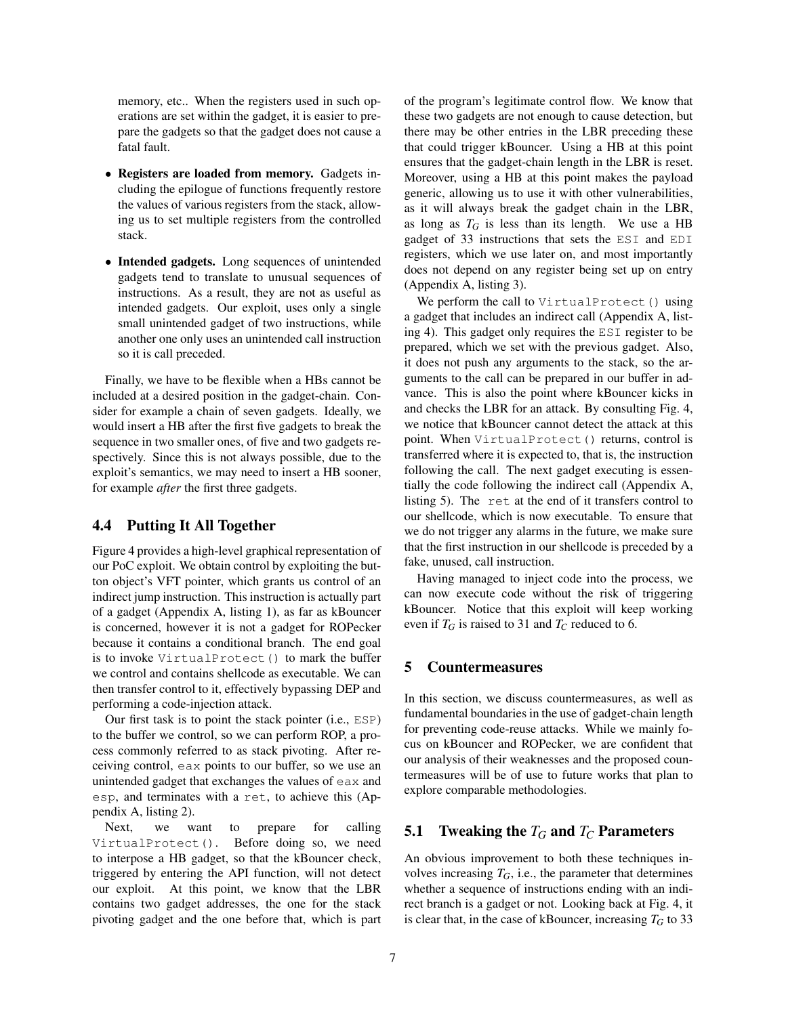memory, etc.. When the registers used in such operations are set within the gadget, it is easier to prepare the gadgets so that the gadget does not cause a fatal fault.

- Registers are loaded from memory. Gadgets including the epilogue of functions frequently restore the values of various registers from the stack, allowing us to set multiple registers from the controlled stack.
- Intended gadgets. Long sequences of unintended gadgets tend to translate to unusual sequences of instructions. As a result, they are not as useful as intended gadgets. Our exploit, uses only a single small unintended gadget of two instructions, while another one only uses an unintended call instruction so it is call preceded.

Finally, we have to be flexible when a HBs cannot be included at a desired position in the gadget-chain. Consider for example a chain of seven gadgets. Ideally, we would insert a HB after the first five gadgets to break the sequence in two smaller ones, of five and two gadgets respectively. Since this is not always possible, due to the exploit's semantics, we may need to insert a HB sooner, for example *after* the first three gadgets.

# 4.4 Putting It All Together

Figure [4](#page-5-0) provides a high-level graphical representation of our PoC exploit. We obtain control by exploiting the button object's VFT pointer, which grants us control of an indirect jump instruction. This instruction is actually part of a gadget (Appendix [A,](#page-12-24) listing [1\)](#page-12-25), as far as kBouncer is concerned, however it is not a gadget for ROPecker because it contains a conditional branch. The end goal is to invoke VirtualProtect() to mark the buffer we control and contains shellcode as executable. We can then transfer control to it, effectively bypassing DEP and performing a code-injection attack.

Our first task is to point the stack pointer (i.e., ESP) to the buffer we control, so we can perform ROP, a process commonly referred to as stack pivoting. After receiving control, eax points to our buffer, so we use an unintended gadget that exchanges the values of eax and esp, and terminates with a ret, to achieve this (Appendix [A,](#page-12-24) listing [2\)](#page-13-0).

Next, we want to prepare for calling VirtualProtect(). Before doing so, we need to interpose a HB gadget, so that the kBouncer check, triggered by entering the API function, will not detect our exploit. At this point, we know that the LBR contains two gadget addresses, the one for the stack pivoting gadget and the one before that, which is part of the program's legitimate control flow. We know that these two gadgets are not enough to cause detection, but there may be other entries in the LBR preceding these that could trigger kBouncer. Using a HB at this point ensures that the gadget-chain length in the LBR is reset. Moreover, using a HB at this point makes the payload generic, allowing us to use it with other vulnerabilities, as it will always break the gadget chain in the LBR, as long as  $T_G$  is less than its length. We use a HB gadget of 33 instructions that sets the ESI and EDI registers, which we use later on, and most importantly does not depend on any register being set up on entry (Appendix [A,](#page-12-24) listing [3\)](#page-13-1).

We perform the call to VirtualProtect() using a gadget that includes an indirect call (Appendix [A,](#page-12-24) listing [4\)](#page-13-2). This gadget only requires the ESI register to be prepared, which we set with the previous gadget. Also, it does not push any arguments to the stack, so the arguments to the call can be prepared in our buffer in advance. This is also the point where kBouncer kicks in and checks the LBR for an attack. By consulting Fig. [4,](#page-5-0) we notice that kBouncer cannot detect the attack at this point. When VirtualProtect() returns, control is transferred where it is expected to, that is, the instruction following the call. The next gadget executing is essentially the code following the indirect call (Appendix [A,](#page-12-24) listing [5\)](#page-13-3). The ret at the end of it transfers control to our shellcode, which is now executable. To ensure that we do not trigger any alarms in the future, we make sure that the first instruction in our shellcode is preceded by a fake, unused, call instruction.

Having managed to inject code into the process, we can now execute code without the risk of triggering kBouncer. Notice that this exploit will keep working even if  $T_G$  is raised to 31 and  $T_C$  reduced to 6.

# <span id="page-6-0"></span>5 Countermeasures

In this section, we discuss countermeasures, as well as fundamental boundaries in the use of gadget-chain length for preventing code-reuse attacks. While we mainly focus on kBouncer and ROPecker, we are confident that our analysis of their weaknesses and the proposed countermeasures will be of use to future works that plan to explore comparable methodologies.

## 5.1 Tweaking the  $T_G$  and  $T_C$  Parameters

An obvious improvement to both these techniques involves increasing  $T_G$ , i.e., the parameter that determines whether a sequence of instructions ending with an indirect branch is a gadget or not. Looking back at Fig. [4,](#page-5-0) it is clear that, in the case of kBouncer, increasing  $T_G$  to 33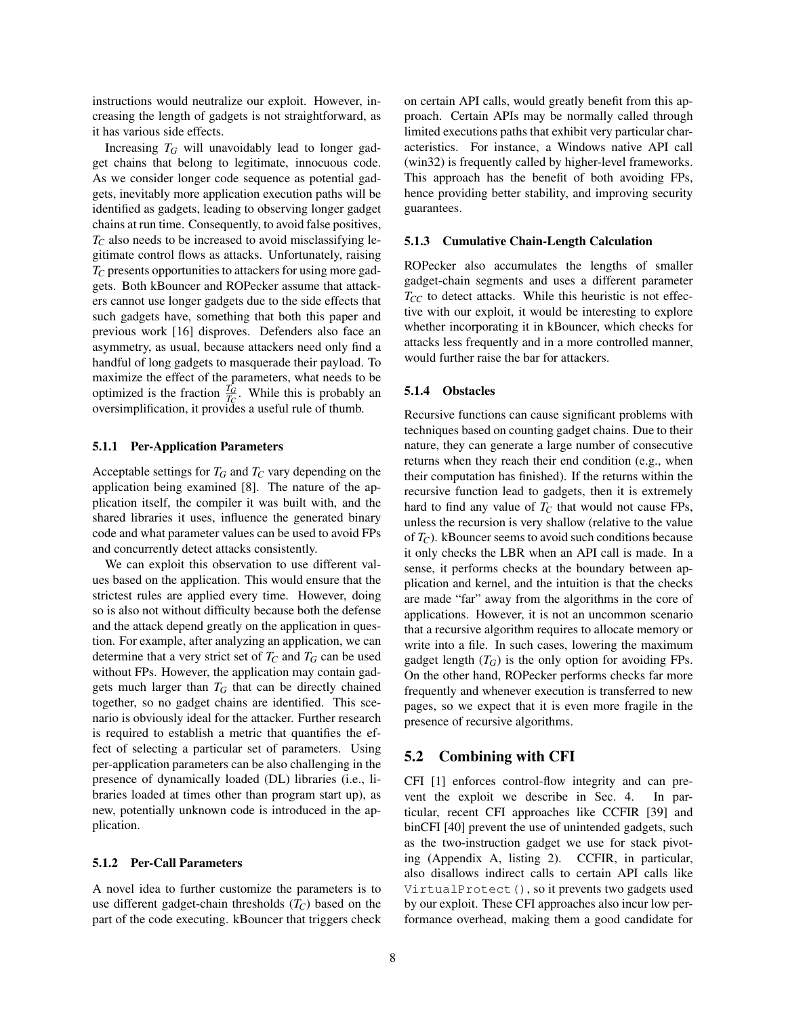instructions would neutralize our exploit. However, increasing the length of gadgets is not straightforward, as it has various side effects.

Increasing  $T_G$  will unavoidably lead to longer gadget chains that belong to legitimate, innocuous code. As we consider longer code sequence as potential gadgets, inevitably more application execution paths will be identified as gadgets, leading to observing longer gadget chains at run time. Consequently, to avoid false positives, *T<sup>C</sup>* also needs to be increased to avoid misclassifying legitimate control flows as attacks. Unfortunately, raising *T<sup>C</sup>* presents opportunities to attackers for using more gadgets. Both kBouncer and ROPecker assume that attackers cannot use longer gadgets due to the side effects that such gadgets have, something that both this paper and previous work [\[16\]](#page-12-10) disproves. Defenders also face an asymmetry, as usual, because attackers need only find a handful of long gadgets to masquerade their payload. To maximize the effect of the parameters, what needs to be optimized is the fraction  $\frac{T_G}{T_C}$ . While this is probably an oversimplification, it provides a useful rule of thumb.

#### <span id="page-7-0"></span>5.1.1 Per-Application Parameters

Acceptable settings for  $T_G$  and  $T_C$  vary depending on the application being examined [\[8\]](#page-12-13). The nature of the application itself, the compiler it was built with, and the shared libraries it uses, influence the generated binary code and what parameter values can be used to avoid FPs and concurrently detect attacks consistently.

We can exploit this observation to use different values based on the application. This would ensure that the strictest rules are applied every time. However, doing so is also not without difficulty because both the defense and the attack depend greatly on the application in question. For example, after analyzing an application, we can determine that a very strict set of  $T_C$  and  $T_G$  can be used without FPs. However, the application may contain gadgets much larger than  $T_G$  that can be directly chained together, so no gadget chains are identified. This scenario is obviously ideal for the attacker. Further research is required to establish a metric that quantifies the effect of selecting a particular set of parameters. Using per-application parameters can be also challenging in the presence of dynamically loaded (DL) libraries (i.e., libraries loaded at times other than program start up), as new, potentially unknown code is introduced in the application.

#### 5.1.2 Per-Call Parameters

A novel idea to further customize the parameters is to use different gadget-chain thresholds (*TC*) based on the part of the code executing. kBouncer that triggers check on certain API calls, would greatly benefit from this approach. Certain APIs may be normally called through limited executions paths that exhibit very particular characteristics. For instance, a Windows native API call (win32) is frequently called by higher-level frameworks. This approach has the benefit of both avoiding FPs, hence providing better stability, and improving security guarantees.

#### 5.1.3 Cumulative Chain-Length Calculation

ROPecker also accumulates the lengths of smaller gadget-chain segments and uses a different parameter *TCC* to detect attacks. While this heuristic is not effective with our exploit, it would be interesting to explore whether incorporating it in kBouncer, which checks for attacks less frequently and in a more controlled manner, would further raise the bar for attackers.

#### 5.1.4 Obstacles

Recursive functions can cause significant problems with techniques based on counting gadget chains. Due to their nature, they can generate a large number of consecutive returns when they reach their end condition (e.g., when their computation has finished). If the returns within the recursive function lead to gadgets, then it is extremely hard to find any value of  $T_C$  that would not cause FPs, unless the recursion is very shallow (relative to the value of *TC*). kBouncer seems to avoid such conditions because it only checks the LBR when an API call is made. In a sense, it performs checks at the boundary between application and kernel, and the intuition is that the checks are made "far" away from the algorithms in the core of applications. However, it is not an uncommon scenario that a recursive algorithm requires to allocate memory or write into a file. In such cases, lowering the maximum gadget length  $(T_G)$  is the only option for avoiding FPs. On the other hand, ROPecker performs checks far more frequently and whenever execution is transferred to new pages, so we expect that it is even more fragile in the presence of recursive algorithms.

#### 5.2 Combining with CFI

CFI [\[1\]](#page-11-3) enforces control-flow integrity and can prevent the exploit we describe in Sec. [4.](#page-4-0) In particular, recent CFI approaches like CCFIR [\[39\]](#page-12-26) and binCFI [\[40\]](#page-12-27) prevent the use of unintended gadgets, such as the two-instruction gadget we use for stack pivoting (Appendix [A,](#page-12-24) listing [2\)](#page-13-0). CCFIR, in particular, also disallows indirect calls to certain API calls like VirtualProtect(), so it prevents two gadgets used by our exploit. These CFI approaches also incur low performance overhead, making them a good candidate for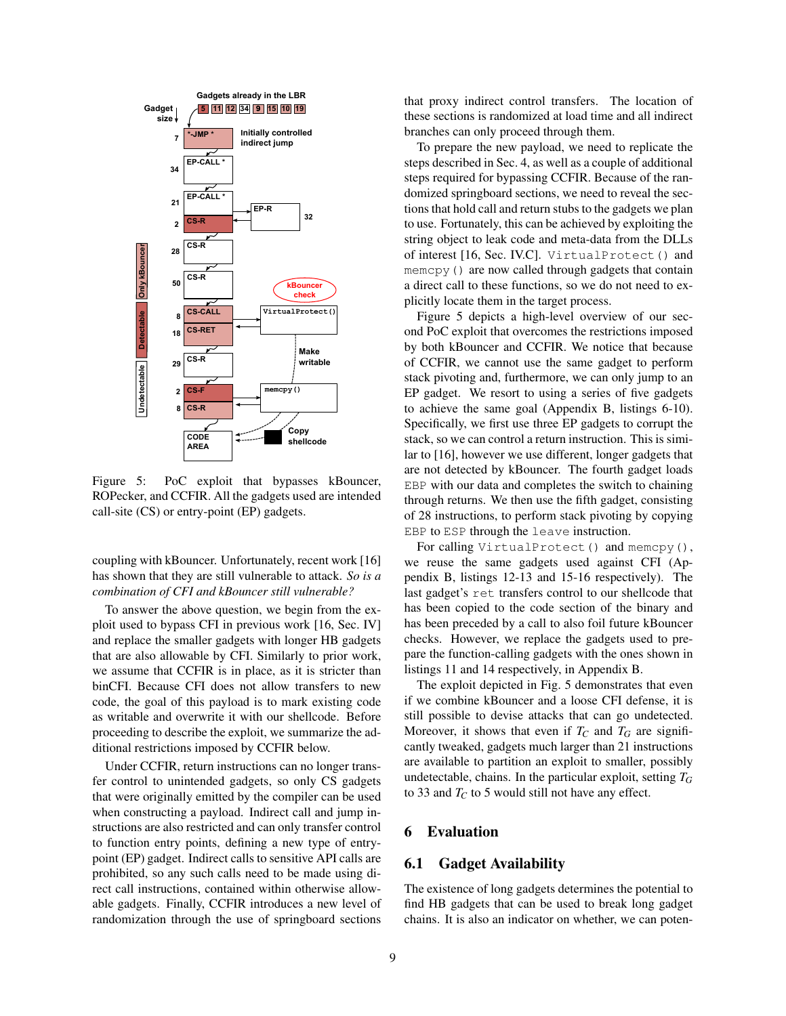<span id="page-8-1"></span>

Figure 5: PoC exploit that bypasses kBouncer, ROPecker, and CCFIR. All the gadgets used are intended call-site (CS) or entry-point (EP) gadgets.

coupling with kBouncer. Unfortunately, recent work [\[16\]](#page-12-10) has shown that they are still vulnerable to attack. *So is a combination of CFI and kBouncer still vulnerable?*

To answer the above question, we begin from the exploit used to bypass CFI in previous work [\[16,](#page-12-10) Sec. IV] and replace the smaller gadgets with longer HB gadgets that are also allowable by CFI. Similarly to prior work, we assume that CCFIR is in place, as it is stricter than binCFI. Because CFI does not allow transfers to new code, the goal of this payload is to mark existing code as writable and overwrite it with our shellcode. Before proceeding to describe the exploit, we summarize the additional restrictions imposed by CCFIR below.

Under CCFIR, return instructions can no longer transfer control to unintended gadgets, so only CS gadgets that were originally emitted by the compiler can be used when constructing a payload. Indirect call and jump instructions are also restricted and can only transfer control to function entry points, defining a new type of entrypoint (EP) gadget. Indirect calls to sensitive API calls are prohibited, so any such calls need to be made using direct call instructions, contained within otherwise allowable gadgets. Finally, CCFIR introduces a new level of randomization through the use of springboard sections that proxy indirect control transfers. The location of these sections is randomized at load time and all indirect branches can only proceed through them.

To prepare the new payload, we need to replicate the steps described in Sec. [4,](#page-4-0) as well as a couple of additional steps required for bypassing CCFIR. Because of the randomized springboard sections, we need to reveal the sections that hold call and return stubs to the gadgets we plan to use. Fortunately, this can be achieved by exploiting the string object to leak code and meta-data from the DLLs of interest [\[16,](#page-12-10) Sec. IV.C]. VirtualProtect() and memcpy() are now called through gadgets that contain a direct call to these functions, so we do not need to explicitly locate them in the target process.

Figure [5](#page-8-1) depicts a high-level overview of our second PoC exploit that overcomes the restrictions imposed by both kBouncer and CCFIR. We notice that because of CCFIR, we cannot use the same gadget to perform stack pivoting and, furthermore, we can only jump to an EP gadget. We resort to using a series of five gadgets to achieve the same goal (Appendix [B,](#page-13-4) listings [6](#page-13-5)[-10\)](#page-14-0). Specifically, we first use three EP gadgets to corrupt the stack, so we can control a return instruction. This is similar to [\[16\]](#page-12-10), however we use different, longer gadgets that are not detected by kBouncer. The fourth gadget loads EBP with our data and completes the switch to chaining through returns. We then use the fifth gadget, consisting of 28 instructions, to perform stack pivoting by copying EBP to ESP through the leave instruction.

For calling VirtualProtect() and memcpy(), we reuse the same gadgets used against CFI (Appendix [B,](#page-13-4) listings [12](#page-15-0)[-13](#page-15-1) and [15-](#page-15-2)[16](#page-15-3) respectively). The last gadget's ret transfers control to our shellcode that has been copied to the code section of the binary and has been preceded by a call to also foil future kBouncer checks. However, we replace the gadgets used to prepare the function-calling gadgets with the ones shown in listings [11](#page-14-1) and [14](#page-15-4) respectively, in Appendix [B.](#page-13-4)

The exploit depicted in Fig. [5](#page-8-1) demonstrates that even if we combine kBouncer and a loose CFI defense, it is still possible to devise attacks that can go undetected. Moreover, it shows that even if  $T_C$  and  $T_G$  are significantly tweaked, gadgets much larger than 21 instructions are available to partition an exploit to smaller, possibly undetectable, chains. In the particular exploit, setting *T<sup>G</sup>* to 33 and  $T_C$  to 5 would still not have any effect.

# <span id="page-8-0"></span>6 Evaluation

# 6.1 Gadget Availability

The existence of long gadgets determines the potential to find HB gadgets that can be used to break long gadget chains. It is also an indicator on whether, we can poten-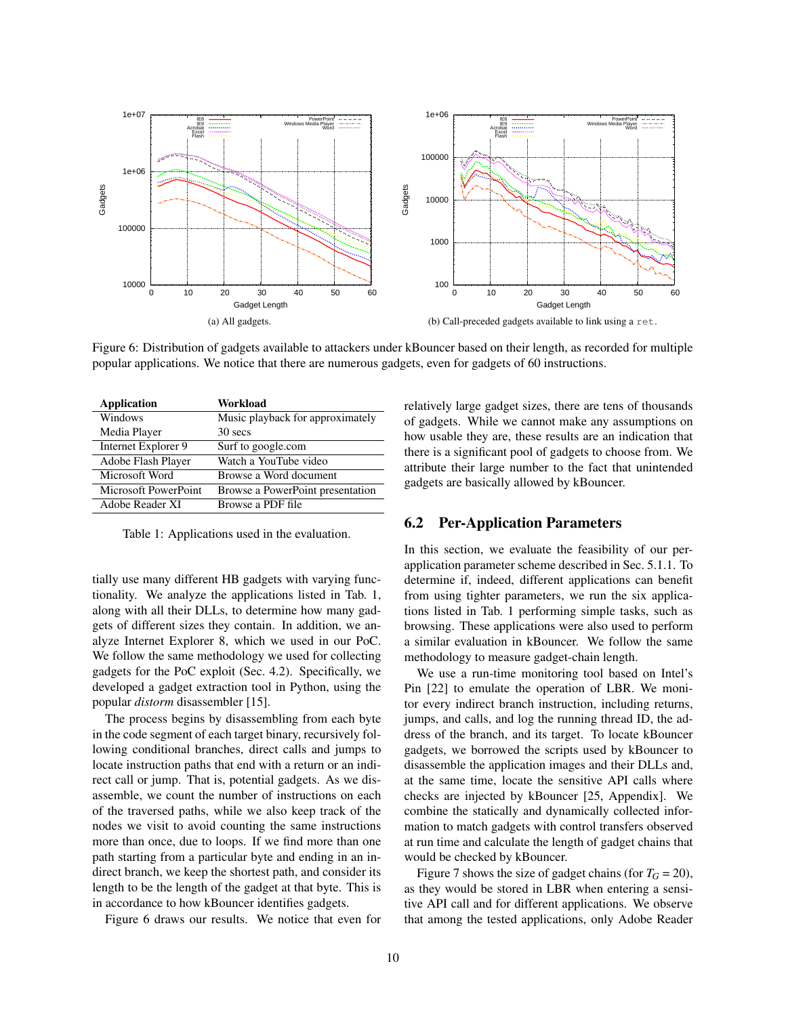<span id="page-9-1"></span>

Figure 6: Distribution of gadgets available to attackers under kBouncer based on their length, as recorded for multiple popular applications. We notice that there are numerous gadgets, even for gadgets of 60 instructions.

<span id="page-9-0"></span>

| <b>Application</b>   | Workload                         |
|----------------------|----------------------------------|
| Windows              | Music playback for approximately |
| Media Player         | 30 secs                          |
| Internet Explorer 9  | Surf to google.com               |
| Adobe Flash Player   | Watch a YouTube video            |
| Microsoft Word       | Browse a Word document           |
| Microsoft PowerPoint | Browse a PowerPoint presentation |
| Adobe Reader XI      | Browse a PDF file                |
|                      |                                  |

Table 1: Applications used in the evaluation.

tially use many different HB gadgets with varying functionality. We analyze the applications listed in Tab. [1,](#page-9-0) along with all their DLLs, to determine how many gadgets of different sizes they contain. In addition, we analyze Internet Explorer 8, which we used in our PoC. We follow the same methodology we used for collecting gadgets for the PoC exploit (Sec. [4.2\)](#page-5-1). Specifically, we developed a gadget extraction tool in Python, using the popular *distorm* disassembler [\[15\]](#page-12-28).

The process begins by disassembling from each byte in the code segment of each target binary, recursively following conditional branches, direct calls and jumps to locate instruction paths that end with a return or an indirect call or jump. That is, potential gadgets. As we disassemble, we count the number of instructions on each of the traversed paths, while we also keep track of the nodes we visit to avoid counting the same instructions more than once, due to loops. If we find more than one path starting from a particular byte and ending in an indirect branch, we keep the shortest path, and consider its length to be the length of the gadget at that byte. This is in accordance to how kBouncer identifies gadgets.

Figure [6](#page-9-1) draws our results. We notice that even for

relatively large gadget sizes, there are tens of thousands of gadgets. While we cannot make any assumptions on how usable they are, these results are an indication that there is a significant pool of gadgets to choose from. We attribute their large number to the fact that unintended gadgets are basically allowed by kBouncer.

# 6.2 Per-Application Parameters

In this section, we evaluate the feasibility of our perapplication parameter scheme described in Sec. [5.1.1.](#page-7-0) To determine if, indeed, different applications can benefit from using tighter parameters, we run the six applications listed in Tab. [1](#page-9-0) performing simple tasks, such as browsing. These applications were also used to perform a similar evaluation in kBouncer. We follow the same methodology to measure gadget-chain length.

We use a run-time monitoring tool based on Intel's Pin [\[22\]](#page-12-29) to emulate the operation of LBR. We monitor every indirect branch instruction, including returns, jumps, and calls, and log the running thread ID, the address of the branch, and its target. To locate kBouncer gadgets, we borrowed the scripts used by kBouncer to disassemble the application images and their DLLs and, at the same time, locate the sensitive API calls where checks are injected by kBouncer [\[25,](#page-12-11) Appendix]. We combine the statically and dynamically collected information to match gadgets with control transfers observed at run time and calculate the length of gadget chains that would be checked by kBouncer.

Figure [7](#page-10-1) shows the size of gadget chains (for  $T_G = 20$ ), as they would be stored in LBR when entering a sensitive API call and for different applications. We observe that among the tested applications, only Adobe Reader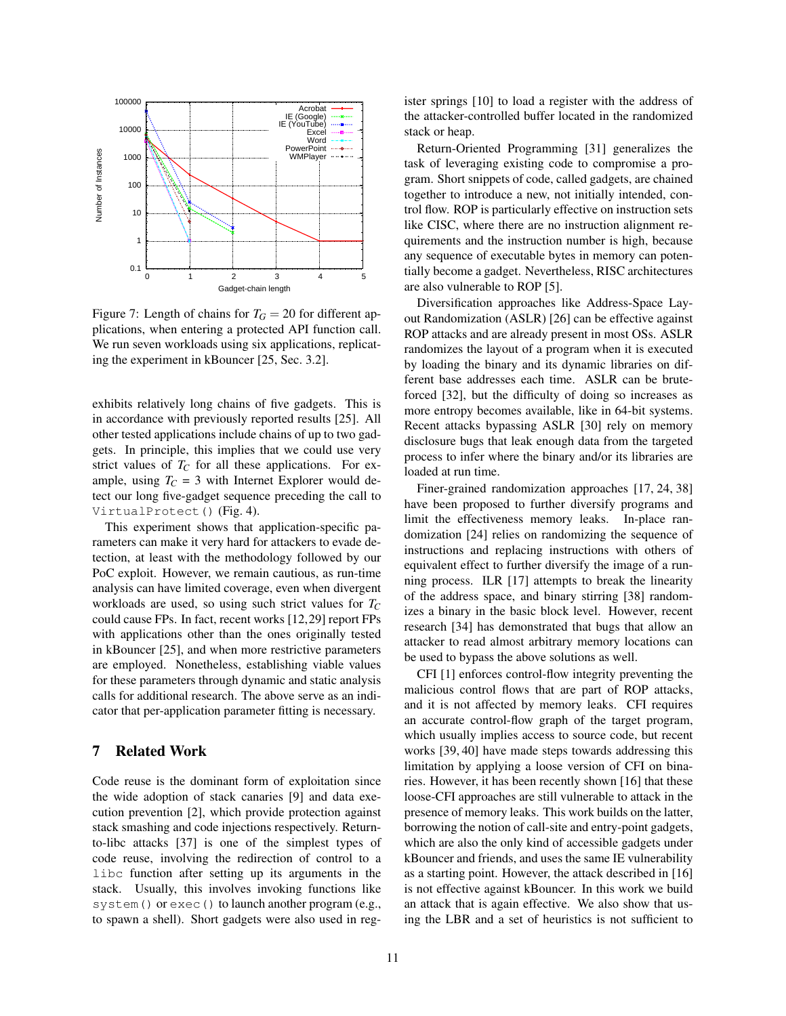<span id="page-10-1"></span>

Figure 7: Length of chains for  $T_G = 20$  for different applications, when entering a protected API function call. We run seven workloads using six applications, replicating the experiment in kBouncer [\[25,](#page-12-11) Sec. 3.2].

exhibits relatively long chains of five gadgets. This is in accordance with previously reported results [\[25\]](#page-12-11). All other tested applications include chains of up to two gadgets. In principle, this implies that we could use very strict values of  $T_C$  for all these applications. For example, using  $T_C = 3$  with Internet Explorer would detect our long five-gadget sequence preceding the call to VirtualProtect() (Fig. [4\)](#page-5-0).

This experiment shows that application-specific parameters can make it very hard for attackers to evade detection, at least with the methodology followed by our PoC exploit. However, we remain cautious, as run-time analysis can have limited coverage, even when divergent workloads are used, so using such strict values for *T<sup>C</sup>* could cause FPs. In fact, recent works [\[12,](#page-12-30)[29\]](#page-12-31) report FPs with applications other than the ones originally tested in kBouncer [\[25\]](#page-12-11), and when more restrictive parameters are employed. Nonetheless, establishing viable values for these parameters through dynamic and static analysis calls for additional research. The above serve as an indicator that per-application parameter fitting is necessary.

## <span id="page-10-0"></span>7 Related Work

Code reuse is the dominant form of exploitation since the wide adoption of stack canaries [\[9\]](#page-12-1) and data execution prevention [\[2\]](#page-11-0), which provide protection against stack smashing and code injections respectively. Returnto-libc attacks [\[37\]](#page-12-7) is one of the simplest types of code reuse, involving the redirection of control to a libc function after setting up its arguments in the stack. Usually, this involves invoking functions like system() or exec() to launch another program (e.g., to spawn a shell). Short gadgets were also used in register springs [\[10\]](#page-12-32) to load a register with the address of the attacker-controlled buffer located in the randomized stack or heap.

Return-Oriented Programming [\[31\]](#page-12-8) generalizes the task of leveraging existing code to compromise a program. Short snippets of code, called gadgets, are chained together to introduce a new, not initially intended, control flow. ROP is particularly effective on instruction sets like CISC, where there are no instruction alignment requirements and the instruction number is high, because any sequence of executable bytes in memory can potentially become a gadget. Nevertheless, RISC architectures are also vulnerable to ROP [\[5\]](#page-11-5).

Diversification approaches like Address-Space Layout Randomization (ASLR) [\[26\]](#page-12-0) can be effective against ROP attacks and are already present in most OSs. ASLR randomizes the layout of a program when it is executed by loading the binary and its dynamic libraries on different base addresses each time. ASLR can be bruteforced [\[32\]](#page-12-33), but the difficulty of doing so increases as more entropy becomes available, like in 64-bit systems. Recent attacks bypassing ASLR [\[30\]](#page-12-2) rely on memory disclosure bugs that leak enough data from the targeted process to infer where the binary and/or its libraries are loaded at run time.

Finer-grained randomization approaches [\[17,](#page-12-34) [24,](#page-12-35) [38\]](#page-12-36) have been proposed to further diversify programs and limit the effectiveness memory leaks. In-place randomization [\[24\]](#page-12-35) relies on randomizing the sequence of instructions and replacing instructions with others of equivalent effect to further diversify the image of a running process. ILR [\[17\]](#page-12-34) attempts to break the linearity of the address space, and binary stirring [\[38\]](#page-12-36) randomizes a binary in the basic block level. However, recent research [\[34\]](#page-12-3) has demonstrated that bugs that allow an attacker to read almost arbitrary memory locations can be used to bypass the above solutions as well.

CFI [\[1\]](#page-11-3) enforces control-flow integrity preventing the malicious control flows that are part of ROP attacks, and it is not affected by memory leaks. CFI requires an accurate control-flow graph of the target program, which usually implies access to source code, but recent works [\[39,](#page-12-26) [40\]](#page-12-27) have made steps towards addressing this limitation by applying a loose version of CFI on binaries. However, it has been recently shown [\[16\]](#page-12-10) that these loose-CFI approaches are still vulnerable to attack in the presence of memory leaks. This work builds on the latter, borrowing the notion of call-site and entry-point gadgets, which are also the only kind of accessible gadgets under kBouncer and friends, and uses the same IE vulnerability as a starting point. However, the attack described in [\[16\]](#page-12-10) is not effective against kBouncer. In this work we build an attack that is again effective. We also show that using the LBR and a set of heuristics is not sufficient to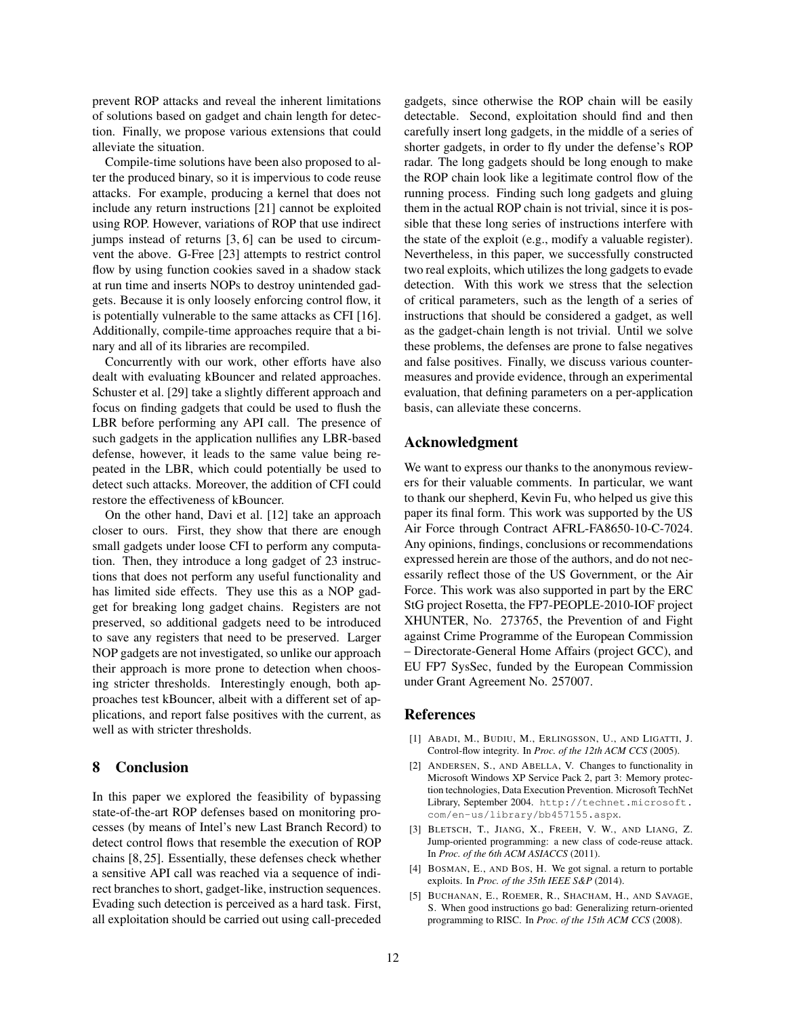prevent ROP attacks and reveal the inherent limitations of solutions based on gadget and chain length for detection. Finally, we propose various extensions that could alleviate the situation.

Compile-time solutions have been also proposed to alter the produced binary, so it is impervious to code reuse attacks. For example, producing a kernel that does not include any return instructions [\[21\]](#page-12-19) cannot be exploited using ROP. However, variations of ROP that use indirect jumps instead of returns [\[3,](#page-11-1) [6\]](#page-12-9) can be used to circumvent the above. G-Free [\[23\]](#page-12-17) attempts to restrict control flow by using function cookies saved in a shadow stack at run time and inserts NOPs to destroy unintended gadgets. Because it is only loosely enforcing control flow, it is potentially vulnerable to the same attacks as CFI [\[16\]](#page-12-10). Additionally, compile-time approaches require that a binary and all of its libraries are recompiled.

Concurrently with our work, other efforts have also dealt with evaluating kBouncer and related approaches. Schuster et al. [\[29\]](#page-12-31) take a slightly different approach and focus on finding gadgets that could be used to flush the LBR before performing any API call. The presence of such gadgets in the application nullifies any LBR-based defense, however, it leads to the same value being repeated in the LBR, which could potentially be used to detect such attacks. Moreover, the addition of CFI could restore the effectiveness of kBouncer.

On the other hand, Davi et al. [\[12\]](#page-12-30) take an approach closer to ours. First, they show that there are enough small gadgets under loose CFI to perform any computation. Then, they introduce a long gadget of 23 instructions that does not perform any useful functionality and has limited side effects. They use this as a NOP gadget for breaking long gadget chains. Registers are not preserved, so additional gadgets need to be introduced to save any registers that need to be preserved. Larger NOP gadgets are not investigated, so unlike our approach their approach is more prone to detection when choosing stricter thresholds. Interestingly enough, both approaches test kBouncer, albeit with a different set of applications, and report false positives with the current, as well as with stricter thresholds.

## <span id="page-11-4"></span>8 Conclusion

In this paper we explored the feasibility of bypassing state-of-the-art ROP defenses based on monitoring processes (by means of Intel's new Last Branch Record) to detect control flows that resemble the execution of ROP chains [\[8,](#page-12-13) [25\]](#page-12-11). Essentially, these defenses check whether a sensitive API call was reached via a sequence of indirect branches to short, gadget-like, instruction sequences. Evading such detection is perceived as a hard task. First, all exploitation should be carried out using call-preceded gadgets, since otherwise the ROP chain will be easily detectable. Second, exploitation should find and then carefully insert long gadgets, in the middle of a series of shorter gadgets, in order to fly under the defense's ROP radar. The long gadgets should be long enough to make the ROP chain look like a legitimate control flow of the running process. Finding such long gadgets and gluing them in the actual ROP chain is not trivial, since it is possible that these long series of instructions interfere with the state of the exploit (e.g., modify a valuable register). Nevertheless, in this paper, we successfully constructed two real exploits, which utilizes the long gadgets to evade detection. With this work we stress that the selection of critical parameters, such as the length of a series of instructions that should be considered a gadget, as well as the gadget-chain length is not trivial. Until we solve these problems, the defenses are prone to false negatives and false positives. Finally, we discuss various countermeasures and provide evidence, through an experimental evaluation, that defining parameters on a per-application basis, can alleviate these concerns.

### Acknowledgment

We want to express our thanks to the anonymous reviewers for their valuable comments. In particular, we want to thank our shepherd, Kevin Fu, who helped us give this paper its final form. This work was supported by the US Air Force through Contract AFRL-FA8650-10-C-7024. Any opinions, findings, conclusions or recommendations expressed herein are those of the authors, and do not necessarily reflect those of the US Government, or the Air Force. This work was also supported in part by the ERC StG project Rosetta, the FP7-PEOPLE-2010-IOF project XHUNTER, No. 273765, the Prevention of and Fight against Crime Programme of the European Commission – Directorate-General Home Affairs (project GCC), and EU FP7 SysSec, funded by the European Commission under Grant Agreement No. 257007.

### References

- <span id="page-11-3"></span>[1] ABADI, M., BUDIU, M., ERLINGSSON, U., AND LIGATTI, J. Control-flow integrity. In *Proc. of the 12th ACM CCS* (2005).
- <span id="page-11-0"></span>[2] ANDERSEN, S., AND ABELLA, V. Changes to functionality in Microsoft Windows XP Service Pack 2, part 3: Memory protection technologies, Data Execution Prevention. Microsoft TechNet Library, September 2004. [http://technet.microsoft.](http://technet.microsoft.com/en-us/library/bb457155.aspx) [com/en-us/library/bb457155.aspx](http://technet.microsoft.com/en-us/library/bb457155.aspx).
- <span id="page-11-1"></span>[3] BLETSCH, T., JIANG, X., FREEH, V. W., AND LIANG, Z. Jump-oriented programming: a new class of code-reuse attack. In *Proc. of the 6th ACM ASIACCS* (2011).
- <span id="page-11-2"></span>[4] BOSMAN, E., AND BOS, H. We got signal. a return to portable exploits. In *Proc. of the 35th IEEE S&P* (2014).
- <span id="page-11-5"></span>[5] BUCHANAN, E., ROEMER, R., SHACHAM, H., AND SAVAGE, S. When good instructions go bad: Generalizing return-oriented programming to RISC. In *Proc. of the 15th ACM CCS* (2008).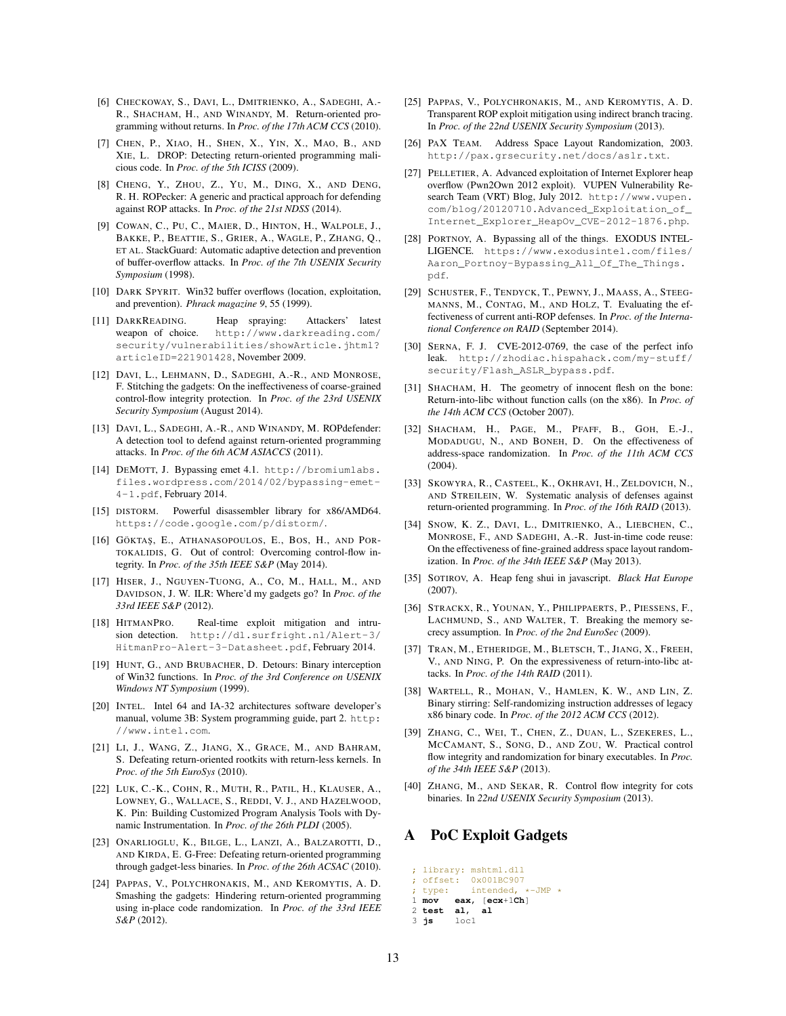- <span id="page-12-9"></span>[6] CHECKOWAY, S., DAVI, L., DMITRIENKO, A., SADEGHI, A.-R., SHACHAM, H., AND WINANDY, M. Return-oriented programming without returns. In *Proc. of the 17th ACM CCS* (2010).
- <span id="page-12-15"></span>[7] CHEN, P., XIAO, H., SHEN, X., YIN, X., MAO, B., AND XIE, L. DROP: Detecting return-oriented programming malicious code. In *Proc. of the 5th ICISS* (2009).
- <span id="page-12-13"></span>[8] CHENG, Y., ZHOU, Z., YU, M., DING, X., AND DENG, R. H. ROPecker: A generic and practical approach for defending against ROP attacks. In *Proc. of the 21st NDSS* (2014).
- <span id="page-12-1"></span>[9] COWAN, C., PU, C., MAIER, D., HINTON, H., WALPOLE, J., BAKKE, P., BEATTIE, S., GRIER, A., WAGLE, P., ZHANG, Q., ET AL. StackGuard: Automatic adaptive detection and prevention of buffer-overflow attacks. In *Proc. of the 7th USENIX Security Symposium* (1998).
- <span id="page-12-32"></span>[10] DARK SPYRIT. Win32 buffer overflows (location, exploitation, and prevention). *Phrack magazine 9*, 55 (1999).
- <span id="page-12-23"></span>[11] DARKREADING. Heap spraying: Attackers' latest weapon of choice. [http://www.darkreading.com/](http://www.darkreading.com/security/vulnerabilities/showArticle.jhtml?articleID=221901428) [security/vulnerabilities/showArticle.jhtml?](http://www.darkreading.com/security/vulnerabilities/showArticle.jhtml?articleID=221901428) [articleID=221901428](http://www.darkreading.com/security/vulnerabilities/showArticle.jhtml?articleID=221901428), November 2009.
- <span id="page-12-30"></span>[12] DAVI, L., LEHMANN, D., SADEGHI, A.-R., AND MONROSE, F. Stitching the gadgets: On the ineffectiveness of coarse-grained control-flow integrity protection. In *Proc. of the 23rd USENIX Security Symposium* (August 2014).
- <span id="page-12-16"></span>[13] DAVI, L., SADEGHI, A.-R., AND WINANDY, M. ROPdefender: A detection tool to defend against return-oriented programming attacks. In *Proc. of the 6th ACM ASIACCS* (2011).
- <span id="page-12-5"></span>[14] DEMOTT, J. Bypassing emet 4.1. [http://bromiumlabs.](http://bromiumlabs.files.wordpress.com/2014/02/bypassing-emet-4-1.pdf) [files.wordpress.com/2014/02/bypassing-emet-](http://bromiumlabs.files.wordpress.com/2014/02/bypassing-emet-4-1.pdf)[4-1.pdf](http://bromiumlabs.files.wordpress.com/2014/02/bypassing-emet-4-1.pdf), February 2014.
- <span id="page-12-28"></span>[15] DISTORM. Powerful disassembler library for x86/AMD64. <https://code.google.com/p/distorm/>.
- <span id="page-12-10"></span>[16] GÖKTAŞ, E., ATHANASOPOULOS, E., BOS, H., AND POR-TOKALIDIS, G. Out of control: Overcoming control-flow integrity. In *Proc. of the 35th IEEE S&P* (May 2014).
- <span id="page-12-34"></span>[17] HISER, J., NGUYEN-TUONG, A., CO, M., HALL, M., AND DAVIDSON, J. W. ILR: Where'd my gadgets go? In *Proc. of the 33rd IEEE S&P* (2012).
- <span id="page-12-12"></span>[18] HITMANPRO. Real-time exploit mitigation and intrusion detection. [http://dl.surfright.nl/Alert-3/](http://dl.surfright.nl/Alert-3/HitmanPro-Alert-3-Datasheet.pdf) [HitmanPro-Alert-3-Datasheet.pdf](http://dl.surfright.nl/Alert-3/HitmanPro-Alert-3-Datasheet.pdf), February 2014.
- <span id="page-12-21"></span>[19] HUNT, G., AND BRUBACHER, D. Detours: Binary interception of Win32 functions. In *Proc. of the 3rd Conference on USENIX Windows NT Symposium* (1999).
- <span id="page-12-20"></span>[20] INTEL. Intel 64 and IA-32 architectures software developer's manual, volume 3B: System programming guide, part 2. [http:](http://www.intel.com) [//www.intel.com](http://www.intel.com).
- <span id="page-12-19"></span>[21] LI, J., WANG, Z., JIANG, X., GRACE, M., AND BAHRAM, S. Defeating return-oriented rootkits with return-less kernels. In *Proc. of the 5th EuroSys* (2010).
- <span id="page-12-29"></span>[22] LUK, C.-K., COHN, R., MUTH, R., PATIL, H., KLAUSER, A., LOWNEY, G., WALLACE, S., REDDI, V. J., AND HAZELWOOD, K. Pin: Building Customized Program Analysis Tools with Dynamic Instrumentation. In *Proc. of the 26th PLDI* (2005).
- <span id="page-12-17"></span>[23] ONARLIOGLU, K., BILGE, L., LANZI, A., BALZAROTTI, D., AND KIRDA, E. G-Free: Defeating return-oriented programming through gadget-less binaries. In *Proc. of the 26th ACSAC* (2010).
- <span id="page-12-35"></span>[24] PAPPAS, V., POLYCHRONAKIS, M., AND KEROMYTIS, A. D. Smashing the gadgets: Hindering return-oriented programming using in-place code randomization. In *Proc. of the 33rd IEEE S&P* (2012).
- <span id="page-12-11"></span>[25] PAPPAS, V., POLYCHRONAKIS, M., AND KEROMYTIS, A. D. Transparent ROP exploit mitigation using indirect branch tracing. In *Proc. of the 22nd USENIX Security Symposium* (2013).
- <span id="page-12-0"></span>[26] PAX TEAM. Address Space Layout Randomization, 2003. <http://pax.grsecurity.net/docs/aslr.txt>.
- <span id="page-12-22"></span>[27] PELLETIER, A. Advanced exploitation of Internet Explorer heap overflow (Pwn2Own 2012 exploit). VUPEN Vulnerability Research Team (VRT) Blog, July 2012. [http://www.vupen.](http://www.vupen.com/blog/20120710.Advanced_Exploitation_of_Internet_Explorer_HeapOv_CVE-2012-1876.php) [com/blog/20120710.Advanced\\_Exploitation\\_of\\_](http://www.vupen.com/blog/20120710.Advanced_Exploitation_of_Internet_Explorer_HeapOv_CVE-2012-1876.php) [Internet\\_Explorer\\_HeapOv\\_CVE-2012-1876.php](http://www.vupen.com/blog/20120710.Advanced_Exploitation_of_Internet_Explorer_HeapOv_CVE-2012-1876.php).
- <span id="page-12-6"></span>[28] PORTNOY, A. Bypassing all of the things. EXODUS INTEL-LIGENCE. [https://www.exodusintel.com/files/](https://www.exodusintel.com/files/Aaron_Portnoy-Bypassing_All_Of_The_Things.pdf) [Aaron\\_Portnoy-Bypassing\\_All\\_Of\\_The\\_Things.](https://www.exodusintel.com/files/Aaron_Portnoy-Bypassing_All_Of_The_Things.pdf) [pdf](https://www.exodusintel.com/files/Aaron_Portnoy-Bypassing_All_Of_The_Things.pdf).
- <span id="page-12-31"></span>[29] SCHUSTER, F., TENDYCK, T., PEWNY, J., MAASS, A., STEEG-MANNS, M., CONTAG, M., AND HOLZ, T. Evaluating the effectiveness of current anti-ROP defenses. In *Proc. of the International Conference on RAID* (September 2014).
- <span id="page-12-2"></span>[30] SERNA, F. J. CVE-2012-0769, the case of the perfect info leak. [http://zhodiac.hispahack.com/my-stuff/](http://zhodiac.hispahack.com/my-stuff/security/Flash_ASLR_bypass.pdf) [security/Flash\\_ASLR\\_bypass.pdf](http://zhodiac.hispahack.com/my-stuff/security/Flash_ASLR_bypass.pdf).
- <span id="page-12-8"></span>[31] SHACHAM, H. The geometry of innocent flesh on the bone: Return-into-libc without function calls (on the x86). In *Proc. of the 14th ACM CCS* (October 2007).
- <span id="page-12-33"></span>[32] SHACHAM, H., PAGE, M., PFAFF, B., GOH, E.-J., MODADUGU, N., AND BONEH, D. On the effectiveness of address-space randomization. In *Proc. of the 11th ACM CCS* (2004).
- <span id="page-12-18"></span>[33] SKOWYRA, R., CASTEEL, K., OKHRAVI, H., ZELDOVICH, N., AND STREILEIN, W. Systematic analysis of defenses against return-oriented programming. In *Proc. of the 16th RAID* (2013).
- <span id="page-12-3"></span>[34] SNOW, K. Z., DAVI, L., DMITRIENKO, A., LIEBCHEN, C., MONROSE, F., AND SADEGHI, A.-R. Just-in-time code reuse: On the effectiveness of fine-grained address space layout randomization. In *Proc. of the 34th IEEE S&P* (May 2013).
- <span id="page-12-14"></span>[35] SOTIROV, A. Heap feng shui in javascript. *Black Hat Europe* (2007).
- <span id="page-12-4"></span>[36] STRACKX, R., YOUNAN, Y., PHILIPPAERTS, P., PIESSENS, F., LACHMUND, S., AND WALTER, T. Breaking the memory secrecy assumption. In *Proc. of the 2nd EuroSec* (2009).
- <span id="page-12-7"></span>[37] TRAN, M., ETHERIDGE, M., BLETSCH, T., JIANG, X., FREEH, V., AND NING, P. On the expressiveness of return-into-libc attacks. In *Proc. of the 14th RAID* (2011).
- <span id="page-12-36"></span>[38] WARTELL, R., MOHAN, V., HAMLEN, K. W., AND LIN, Z. Binary stirring: Self-randomizing instruction addresses of legacy x86 binary code. In *Proc. of the 2012 ACM CCS* (2012).
- <span id="page-12-26"></span>[39] ZHANG, C., WEI, T., CHEN, Z., DUAN, L., SZEKERES, L., MCCAMANT, S., SONG, D., AND ZOU, W. Practical control flow integrity and randomization for binary executables. In *Proc. of the 34th IEEE S&P* (2013).
- <span id="page-12-27"></span>[40] ZHANG, M., AND SEKAR, R. Control flow integrity for cots binaries. In *22nd USENIX Security Symposium* (2013).

# <span id="page-12-24"></span>A PoC Exploit Gadgets

```
; library: mshtml.dll<br>: offset: 0x001BC907
  offset:; type: intended, *-JMP *<br>1 mov eax, [ecx+1Ch]1 mov eax, [ecx+1Ch]
2 test al, al
3 js loc1
```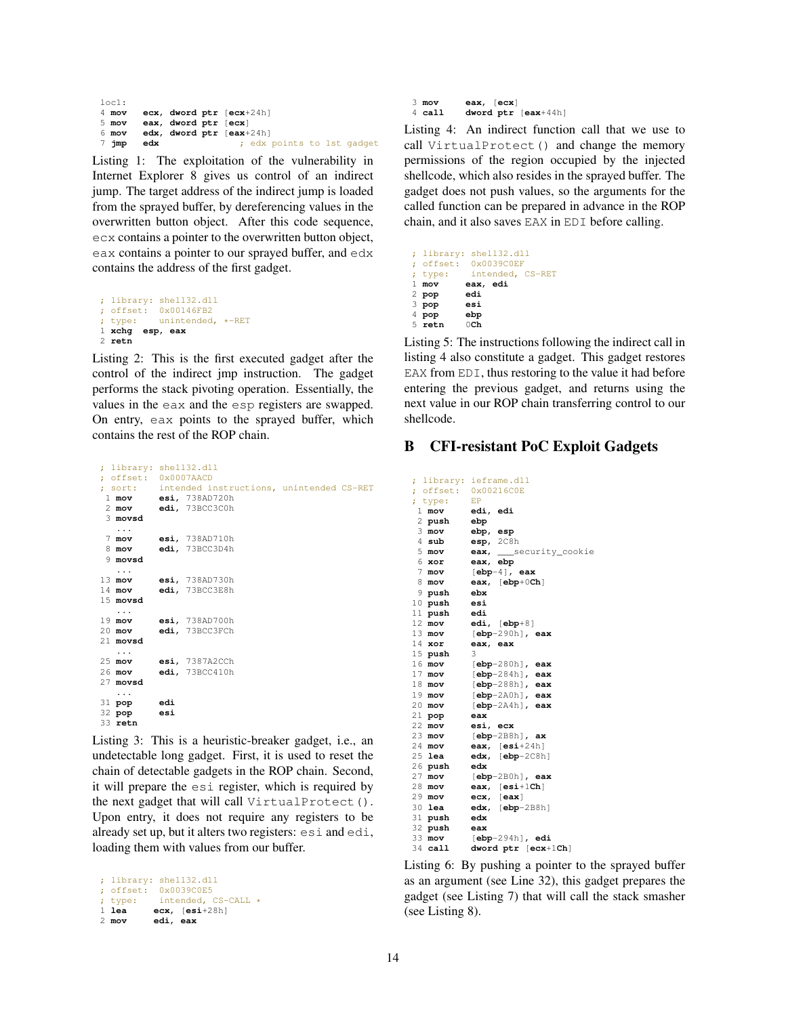| loc1:           |     |                          |  |  |                            |
|-----------------|-----|--------------------------|--|--|----------------------------|
| $4 \text{ mov}$ |     | ecx, dword ptr [ecx+24h] |  |  |                            |
| $5 \text{ mov}$ |     | eax, dword ptr [ecx]     |  |  |                            |
| 6 mov           |     | edx, dword ptr [eax+24h] |  |  |                            |
| 7 jmp           | edx |                          |  |  | ; edx points to 1st gadget |

Listing 1: The exploitation of the vulnerability in Internet Explorer 8 gives us control of an indirect jump. The target address of the indirect jump is loaded from the sprayed buffer, by dereferencing values in the overwritten button object. After this code sequence, ecx contains a pointer to the overwritten button object, eax contains a pointer to our sprayed buffer, and edx contains the address of the first gadget.

```
; library: shell32.dll
; offset: 0x00146FB2
; type: unintended, *-RET
1 xchg esp, eax
2 retn
```
Listing 2: This is the first executed gadget after the control of the indirect jmp instruction. The gadget performs the stack pivoting operation. Essentially, the values in the eax and the esp registers are swapped. On entry, eax points to the sprayed buffer, which contains the rest of the ROP chain.

<span id="page-13-1"></span>

|                         | ; library: shell32.dll |                                                  |  |  |
|-------------------------|------------------------|--------------------------------------------------|--|--|
|                         | ; offset: 0x0007AACD   |                                                  |  |  |
|                         |                        | ; sort: intended instructions, unintended CS-RET |  |  |
|                         |                        | 1 mov esi, 738AD720h                             |  |  |
|                         |                        | 2 mov edi, 73BCC3C0h                             |  |  |
| 3 movsd                 |                        |                                                  |  |  |
| $\cdots$                |                        |                                                  |  |  |
|                         |                        | 7 mov esi, 738AD710h                             |  |  |
|                         |                        | 8 mov edi, 73BCC3D4h                             |  |  |
| 9 movsd                 |                        |                                                  |  |  |
| $\cdots$                |                        |                                                  |  |  |
|                         |                        | 13 mov esi, 738AD730h                            |  |  |
|                         |                        | 14 mov edi, 73BCC3E8h                            |  |  |
| 15 movsd                |                        |                                                  |  |  |
| $\cdots$                |                        |                                                  |  |  |
|                         |                        | 19 mov esi, 738AD700h                            |  |  |
|                         |                        | 20 mov edi, 73BCC3FCh                            |  |  |
| 21 movsd                |                        |                                                  |  |  |
| $\cdot$ $\cdot$ $\cdot$ |                        |                                                  |  |  |
|                         |                        | 25 mov esi, 7387A2CCh                            |  |  |
| 26 mov                  |                        | edi, 73BCC410h                                   |  |  |
| 27 movsd                |                        |                                                  |  |  |
| $\cdots$                |                        |                                                  |  |  |
| 31 pop edi              |                        |                                                  |  |  |
| 32 pop esi              |                        |                                                  |  |  |
| 33 retn                 |                        |                                                  |  |  |

Listing 3: This is a heuristic-breaker gadget, i.e., an undetectable long gadget. First, it is used to reset the chain of detectable gadgets in the ROP chain. Second, it will prepare the esi register, which is required by the next gadget that will call VirtualProtect(). Upon entry, it does not require any registers to be already set up, but it alters two registers: esi and edi, loading them with values from our buffer.

```
; library: shell32.dll
; offset: 0x0039C0E5
; type: intended, CS-CALL *<br>1 lea ecx. [esi+28h]
            1 lea ecx, [esi+28h]
2 mov edi, eax
```

```
3 mov eax, [ecx]
           4 call dword ptr [eax+44h]
```
Listing 4: An indirect function call that we use to call VirtualProtect() and change the memory permissions of the region occupied by the injected shellcode, which also resides in the sprayed buffer. The gadget does not push values, so the arguments for the called function can be prepared in advance in the ROP chain, and it also saves EAX in EDI before calling.

<span id="page-13-3"></span>

|         | ; library: shell32.dll   |  |
|---------|--------------------------|--|
|         | ; offset: 0x0039C0EF     |  |
|         | ; type: intended, CS-RET |  |
| $1$ mov | eax, edi                 |  |
| 2 pop   | edi                      |  |
| $3$ pop | esi                      |  |
| 4 pop   | ebp                      |  |
| 5 retn  | $0$ Ch                   |  |

Listing 5: The instructions following the indirect call in listing [4](#page-13-2) also constitute a gadget. This gadget restores EAX from EDI, thus restoring to the value it had before entering the previous gadget, and returns using the next value in our ROP chain transferring control to our shellcode.

## <span id="page-13-4"></span>B CFI-resistant PoC Exploit Gadgets

<span id="page-13-5"></span>; library: ieframe.dll ; offset: 0x00216C0E ; type: EP **mov edi**, **edi** 2 **push ebp mov ebp**, **esp sub esp**, 2C8h **mov** eax, \_\_\_security\_cookie<br>6 xor eax, ebp **xor eax**, **ebp mov** [**ebp**-4], **eax mov eax**, [**ebp**+0**Ch**] 9 **push ebx** 10 **push esi push 12 mov mov edi**, [**ebp**+8] **mov** [**ebp**-290h], **eax xor eax**, **eax** 15 **push** 3 **mov** [**ebp**-280h], **eax mov** [**ebp**-284h], **eax mov** [**ebp**-288h], **eax mov** [**ebp**-2A0h], **eax mov** [**ebp**-2A4h], **eax** 21 **pop eax mov esi**, **ecx mov** [**ebp**-2B8h], **ax mov eax**, [**esi**+24h] **edx,** [**ebp**-2C8h] 26 **push edx mov** [**ebp**-2B0h], **eax mov eax**, [**esi**+1**Ch**]<br>29 **mov ecx**. [**eax**] **mov ecx**, [**eax**] **lea edx**, [**ebp**-2B8h] 31 **push edx** 32 **push eax mov** [**ebp**-294h], **edi call dword ptr** [**ecx**+1**Ch**]

Listing 6: By pushing a pointer to the sprayed buffer as an argument (see Line 32), this gadget prepares the gadget (see Listing [7\)](#page-14-2) that will call the stack smasher (see Listing [8\)](#page-14-3).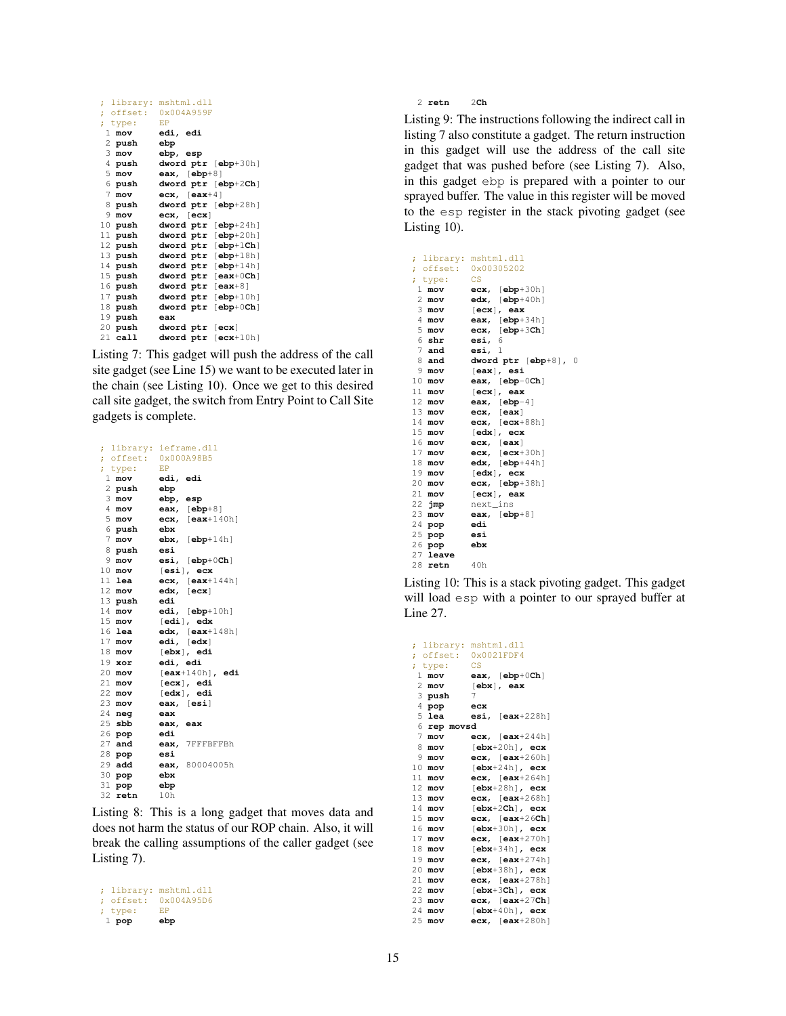<span id="page-14-2"></span>

| library:       | mshtml.dll                                               |
|----------------|----------------------------------------------------------|
|                | ; offset: 0x004A959F                                     |
| ; type:        | EP                                                       |
| 1.<br>mov      | edi, edi                                                 |
| 2 push         | ebp                                                      |
| 3.<br>mov      | ebp, esp                                                 |
| 4 push         | dword ptr [ebp+30h]                                      |
| 5<br>mov       | eax, $[ebp+8]$                                           |
| 6 push         | dword ptr [ebp+2Ch]                                      |
| $7$ mov        | $exc, \; [eax+4]$                                        |
| 8 push         | dword ptr [ebp+28h]                                      |
| 9.<br>mov      | exc, [ecx]                                               |
| $10$ push      | dword ptr [ebp+24h]                                      |
| 11 push        | dword ptr<br>[ <b>ebp</b> +20h]                          |
| 12 push        | $[$ ebp $+1$ Ch $]$<br>dword ptr                         |
| 13 push        | $[$ ebp+ $18h]$<br>dword ptr                             |
| 14 push        | dword ptr<br>$[ebp+14h]$                                 |
| 15 push        | $[ear+0Ch]$<br>dword ptr                                 |
| 16 <b>push</b> | dword ptr<br>$[ear+8]$                                   |
| 17 push        | $[ebp+10h]$<br>dword ptr                                 |
| 18 push        | $\lceil \mathbf{ebp} + 0\mathbf{Ch} \rceil$<br>dword ptr |
| 19 push        | eax                                                      |
| 20 push        | [ecx]<br>dword ptr                                       |
| $21$ call      | dword ptr<br>$[ecx+10h]$                                 |

Listing 7: This gadget will push the address of the call site gadget (see Line 15) we want to be executed later in the chain (see Listing [10\)](#page-14-0). Once we get to this desired call site gadget, the switch from Entry Point to Call Site gadgets is complete.

<span id="page-14-3"></span>

| ï                |                      |          | library: ieframe.dll |
|------------------|----------------------|----------|----------------------|
|                  | ; offset: 0x000A98B5 |          |                      |
| ; type:          |                      | EP       |                      |
| $\mathbf{1}$     | mov                  | edi, edi |                      |
|                  | 2 <b>push</b>        | ebp      |                      |
| $3$ mov          |                      | ebp, esp |                      |
| $4$ mov          |                      |          | eax, $[ebp+8]$       |
| $5 \text{ mov}$  |                      |          | ecx, $[ear+140h]$    |
| 6 push           |                      | ebx      |                      |
| $7$ mov          |                      |          | $ebx$ , $[ebp+14h]$  |
|                  | 8 push               | esi      |                      |
| 9                | mov                  |          | $esi, [ebp+0Ch]$     |
| $10$ mov         |                      |          | $[$ esi $]$ , ecx    |
| 11 lea           |                      |          | ecx, $[ear+144h]$    |
| $12 \text{ mov}$ |                      |          | edx, [ecx]           |
| $13$ push        |                      | edi      |                      |
| 14 mov           |                      |          | $edi, [ebp+10h]$     |
| $15$ mov         |                      |          | [edi], edx           |
| 16 lea           |                      |          | $edx, [eax+148h]$    |
| $17$ mov         |                      |          | edi, [edx]           |
| 18 mov           |                      |          | [ebx], edi           |
| $19$ xor         |                      | edi, edi |                      |
| $20$ mov         |                      |          | $[ear+140h]$ , edi   |
| $21$ mov         |                      |          | $[ecx]$ , edi        |
| 22 mov           |                      |          | $[edx]$ , edi        |
| 23 mov           |                      |          | eax, [esi]           |
| $24$ neg         |                      | eax      |                      |
| $25$ sbb         |                      | eax, eax |                      |
| 26 pop           |                      | edi      |                      |
| $27$ and         |                      |          | eax, 7FFFBFFBh       |
| 28 <b>pop</b>    |                      | esi      |                      |
| 29 add           |                      |          | eax, 80004005h       |
| $30$ $pop$       |                      | ebx      |                      |
| 31 pop           |                      | ebp      |                      |
| 32 retn          |                      | 10h      |                      |

Listing 8: This is a long gadget that moves data and does not harm the status of our ROP chain. Also, it will break the calling assumptions of the caller gadget (see Listing [7\)](#page-14-2).

```
; library: mshtml.dll
; offset: 0x004A95D6<br>; type: EP
; type:
 1 pop ebp
```
**retn** 2**Ch**

Listing 9: The instructions following the indirect call in listing [7](#page-14-2) also constitute a gadget. The return instruction in this gadget will use the address of the call site gadget that was pushed before (see Listing [7\)](#page-14-2). Also, in this gadget ebp is prepared with a pointer to our sprayed buffer. The value in this register will be moved to the esp register in the stack pivoting gadget (see Listing [10\)](#page-14-0).

```
; library: mshtml.dll
; offset: 0x00305202
; type: CS
 1 mov ecx, [ebp+30h]
           2 mov edx, [ebp+40h]
 3 mov [ecx], eax
4 mov eax, [ebp+34h]<br>5 mov ecx, [ebp+3Ch]
           5 mov ecx, [ebp+3Ch]
 6 shr esi, 6
 7 and esi, 1
 8 and dword ptr [ebp+8], 0
9 mov [eax], esi
            10 mov eax, [ebp-0Ch]
11 mov [ecx], eax
12 mov eax, [ebp-4]
13 mov ecx, [eax]
14 mov ecx, [ecx+88h]
15 mov [edx], ecx
            16 mov ecx, [eax]
17 mov ecx, [ecx+30h]
            edx, [ebp+44h]
19 mov [edx], ecx
20 mov ecx, [ebp+38h]
            21 mov [ecx], eax
22 jmp next_ins<br>23 mov eax, [eb]
           eax, [ebp<sup>+8]</sup><br>edi
24 pop edi
25 pop esi
26 pop ebx
27 leave
28 retn 40h
```
Listing 10: This is a stack pivoting gadget. This gadget will load esp with a pointer to our sprayed buffer at Line 27.

<span id="page-14-1"></span>

|                 |                 | ; library: mshtml.dll          |
|-----------------|-----------------|--------------------------------|
|                 |                 | ; offset: 0x0021FDF4           |
|                 | ; type:         | <b>CS</b>                      |
|                 | 1 mov           | eax, $[ebp+0Ch]$               |
|                 | $2 \text{ mov}$ | $[ebx]$ , eax                  |
|                 | 3 push          | 7                              |
|                 | 4 pop           | ecx                            |
|                 | $5$ lea         | $est,$ [eax+228h]              |
|                 | 6 rep movsd     |                                |
| $7\phantom{.}$  | mov             | ecx, $[ear+244h]$              |
| -8              | mov             | $[\texttt{ebx+20h}]$ , ecx     |
| 9               | mov             | $ex,$ [eax+260h]               |
| 10              | mov             | $[\texttt{ebx+24h}]$ , ecx     |
| 11              | mov             | ecx, $[ear+264h]$              |
| 12 <sup>°</sup> | mov             | $[\texttt{ebx+28h}]$ , ecx     |
| 13              | mov             | $exc, \$ [eax+268h]            |
| 14              | mov             | $\lceil ebx+2Ch\rceil$ , $ecx$ |
| 15              | mov             | $exc, \quad [eax+26Ch]$        |
| 16              | mov             | $[ebx+30h]$ , $ecx$            |
| 17              | mov             | $ex,$ [eax+270h]               |
| 18              | mov             | $[ebx+34h]$ , ecx              |
| 19              | mov             | $ex,$ [eax+274h]               |
| 20              | mov             | $[\texttt{ebx+38h}]$ , ecx     |
| 21              | mov             | ecx, $[ear+278h]$              |
| 22              | mov             | $[ebx+3Ch]$ , ecx              |
| 23.             | mov             | $exc, \quad [eax+27Ch]$        |
| 24              | mov             | $[\texttt{ebx+40h}]$ , ecx     |
| 25              | mov             | $exc$ , $[ear+280h]$           |